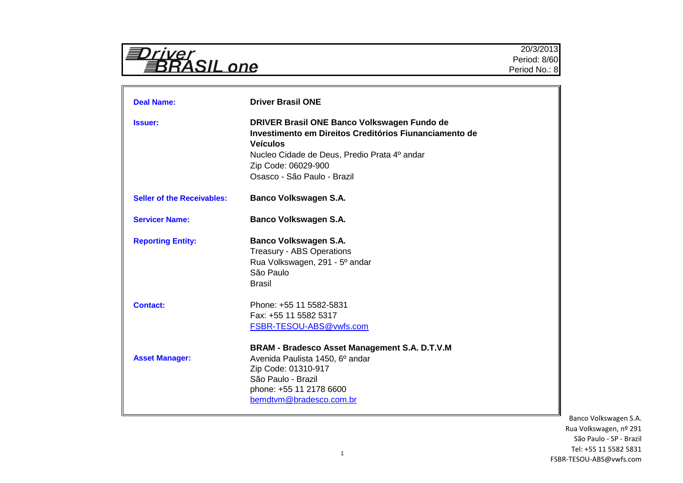| abrivel           |  |
|-------------------|--|
| <i>BRASIL one</i> |  |

| <b>Deal Name:</b>                 | <b>Driver Brasil ONE</b>                                                                                                                                                                                                       |
|-----------------------------------|--------------------------------------------------------------------------------------------------------------------------------------------------------------------------------------------------------------------------------|
| <b>Issuer:</b>                    | DRIVER Brasil ONE Banco Volkswagen Fundo de<br>Investimento em Direitos Creditórios Fiunanciamento de<br><b>Veículos</b><br>Nucleo Cidade de Deus, Predio Prata 4º andar<br>Zip Code: 06029-900<br>Osasco - São Paulo - Brazil |
| <b>Seller of the Receivables:</b> | <b>Banco Volkswagen S.A.</b>                                                                                                                                                                                                   |
| <b>Servicer Name:</b>             | <b>Banco Volkswagen S.A.</b>                                                                                                                                                                                                   |
| <b>Reporting Entity:</b>          | <b>Banco Volkswagen S.A.</b><br><b>Treasury - ABS Operations</b><br>Rua Volkswagen, 291 - 5° andar<br>São Paulo<br><b>Brasil</b>                                                                                               |
| <b>Contact:</b>                   | Phone: +55 11 5582-5831<br>Fax: +55 11 5582 5317<br>FSBR-TESOU-ABS@vwfs.com                                                                                                                                                    |
| <b>Asset Manager:</b>             | BRAM - Bradesco Asset Management S.A. D.T.V.M<br>Avenida Paulista 1450, 6º andar<br>Zip Code: 01310-917<br>São Paulo - Brazil<br>phone: +55 11 2178 6600<br>bemdtvm@bradesco.com.br                                            |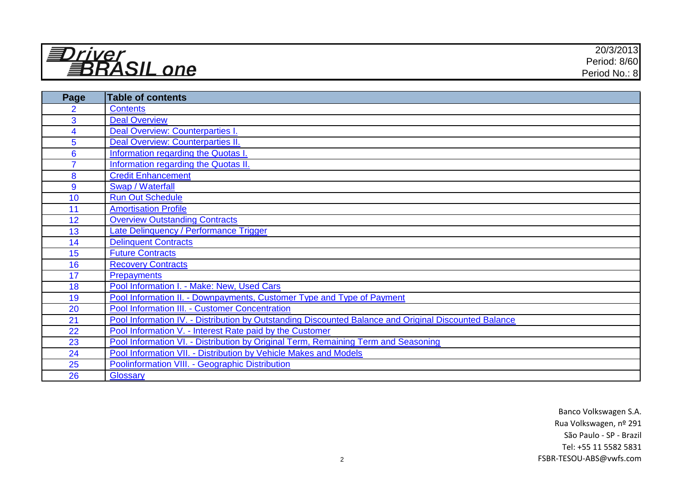| $\mathbf{v}$ $\mathbf{v}$<br>$\overline{\phantom{a}}$ | 20/3/2013        |
|-------------------------------------------------------|------------------|
| $\bigcap$<br>__                                       | Period: 8/60     |
| $n_{\Omega}$                                          | No.: 8<br>Period |

| Page           | Table of contents                                                                                     |
|----------------|-------------------------------------------------------------------------------------------------------|
| $\overline{2}$ | <b>Contents</b>                                                                                       |
| 3              | <b>Deal Overview</b>                                                                                  |
| 4              | Deal Overview: Counterparties I.                                                                      |
| 5              | Deal Overview: Counterparties II.                                                                     |
| 6              | Information regarding the Quotas I.                                                                   |
| $\overline{7}$ | Information regarding the Quotas II.                                                                  |
| 8              | <b>Credit Enhancement</b>                                                                             |
| 9              | Swap / Waterfall                                                                                      |
| 10             | <b>Run Out Schedule</b>                                                                               |
| 11             | <b>Amortisation Profile</b>                                                                           |
| 12             | <b>Overview Outstanding Contracts</b>                                                                 |
| 13             | Late Delinquency / Performance Trigger                                                                |
| 14             | Delinquent Contracts                                                                                  |
| 15             | <b>Future Contracts</b>                                                                               |
| 16             | <b>Recovery Contracts</b>                                                                             |
| 17             | <b>Prepayments</b>                                                                                    |
| 18             | Pool Information I. - Make: New, Used Cars                                                            |
| 19             | Pool Information II. - Downpayments, Customer Type and Type of Payment                                |
| 20             | Pool Information III. - Customer Concentration                                                        |
| 21             | Pool Information IV. - Distribution by Outstanding Discounted Balance and Original Discounted Balance |
| 22             | Pool Information V. - Interest Rate paid by the Customer                                              |
| 23             | Pool Information VI. - Distribution by Original Term, Remaining Term and Seasoning                    |
| 24             | Pool Information VII. - Distribution by Vehicle Makes and Models                                      |
| 25             | Poolinformation VIII. - Geographic Distribution                                                       |
| 26             | Glossary                                                                                              |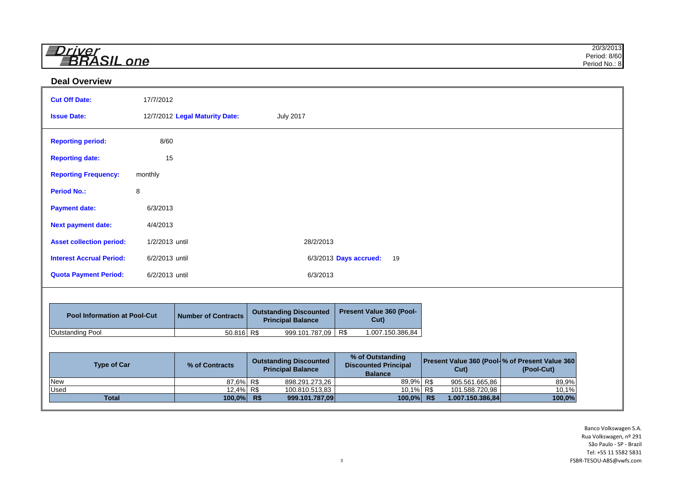| =<br>$rii\alpha r$    | 20/3/2013     |
|-----------------------|---------------|
| $\sim$ $\blacksquare$ | Period: 8/60  |
| one<br>__             | Period No.: 8 |

### **Deal Overview**

| <b>Cut Off Date:</b>                | 17/7/2012      |                                |                                                           |                                                                   |                                                         |            |
|-------------------------------------|----------------|--------------------------------|-----------------------------------------------------------|-------------------------------------------------------------------|---------------------------------------------------------|------------|
| <b>Issue Date:</b>                  |                | 12/7/2012 Legal Maturity Date: | <b>July 2017</b>                                          |                                                                   |                                                         |            |
| <b>Reporting period:</b>            | 8/60           |                                |                                                           |                                                                   |                                                         |            |
| <b>Reporting date:</b>              | 15             |                                |                                                           |                                                                   |                                                         |            |
| <b>Reporting Frequency:</b>         | monthly        |                                |                                                           |                                                                   |                                                         |            |
| <b>Period No.:</b>                  | 8              |                                |                                                           |                                                                   |                                                         |            |
| <b>Payment date:</b>                | 6/3/2013       |                                |                                                           |                                                                   |                                                         |            |
| <b>Next payment date:</b>           | 4/4/2013       |                                |                                                           |                                                                   |                                                         |            |
| <b>Asset collection period:</b>     | 1/2/2013 until |                                | 28/2/2013                                                 |                                                                   |                                                         |            |
| <b>Interest Accrual Period:</b>     | 6/2/2013 until |                                |                                                           | 6/3/2013 Days accrued:<br>19                                      |                                                         |            |
| <b>Quota Payment Period:</b>        | 6/2/2013 until |                                | 6/3/2013                                                  |                                                                   |                                                         |            |
|                                     |                |                                |                                                           |                                                                   |                                                         |            |
| <b>Pool Information at Pool-Cut</b> |                | <b>Number of Contracts</b>     | <b>Outstanding Discounted</b><br><b>Principal Balance</b> | Present Value 360 (Pool-<br>Cut)                                  |                                                         |            |
| <b>Outstanding Pool</b>             |                | $50.816$ R\$                   | 999.101.787,09                                            | R\$<br>1.007.150.386,84                                           |                                                         |            |
|                                     |                |                                |                                                           |                                                                   |                                                         |            |
| <b>Type of Car</b>                  |                | % of Contracts                 | <b>Outstanding Discounted</b><br><b>Principal Balance</b> | % of Outstanding<br><b>Discounted Principal</b><br><b>Balance</b> | Present Value 360 (Pool- % of Present Value 360<br>Cut) | (Pool-Cut) |
| New                                 |                | 87,6% R\$                      | 898.291.273,26                                            | 89,9% R\$                                                         | 905.561.665,86                                          | 89,9%      |
| <b>Used</b>                         |                | 12,4% R\$                      | 100.810.513,83                                            | 10,1% R\$                                                         | 101.588.720,98                                          | 10,1%      |
| <b>Total</b>                        |                | 100,0% R\$                     | 999.101.787,09                                            | 100,0% R\$                                                        | 1.007.150.386,84                                        | 100,0%     |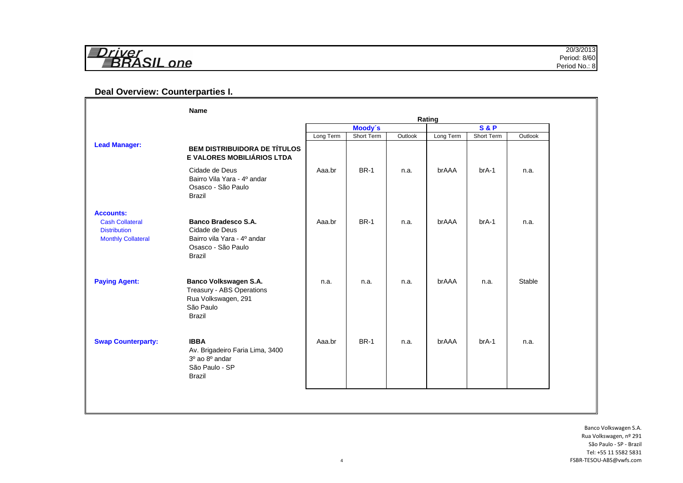| 14.71.72.14       | 10010                                                  |
|-------------------|--------------------------------------------------------|
|                   | 20/3/2013                                              |
| $\sim$ $\sim$     | 8/60                                                   |
| ___               | Period:                                                |
| $n$ $\alpha$<br>_ | Period<br>$\overline{\phantom{0}}$<br><sup>⊣</sup> No… |

# **Deal Overview: Counterparties I.**

|                                                                                                | <b>Name</b>                                                                                                        |           |             |         | Rating    |                |         |
|------------------------------------------------------------------------------------------------|--------------------------------------------------------------------------------------------------------------------|-----------|-------------|---------|-----------|----------------|---------|
|                                                                                                |                                                                                                                    |           | Moody's     |         |           | <b>S&amp;P</b> |         |
|                                                                                                |                                                                                                                    | Long Term | Short Term  | Outlook | Long Term | Short Term     | Outlook |
| <b>Lead Manager:</b>                                                                           | <b>BEM DISTRIBUIDORA DE TÍTULOS</b><br>E VALORES MOBILIÁRIOS LTDA                                                  |           |             |         |           |                |         |
|                                                                                                | Cidade de Deus<br>Bairro Vila Yara - 4º andar<br>Osasco - São Paulo<br><b>Brazil</b>                               | Aaa.br    | <b>BR-1</b> | n.a.    | brAAA     | $brA-1$        | n.a.    |
| <b>Accounts:</b><br><b>Cash Collateral</b><br><b>Distribution</b><br><b>Monthly Collateral</b> | <b>Banco Bradesco S.A.</b><br>Cidade de Deus<br>Bairro vila Yara - 4º andar<br>Osasco - São Paulo<br><b>Brazil</b> | Aaa.br    | <b>BR-1</b> | n.a.    | brAAA     | $brA-1$        | n.a.    |
| <b>Paying Agent:</b>                                                                           | Banco Volkswagen S.A.<br>Treasury - ABS Operations<br>Rua Volkswagen, 291<br>São Paulo<br><b>Brazil</b>            | n.a.      | n.a.        | n.a.    | brAAA     | n.a.           | Stable  |
| <b>Swap Counterparty:</b>                                                                      | <b>IBBA</b><br>Av. Brigadeiro Faria Lima, 3400<br>3º ao 8º andar<br>São Paulo - SP<br><b>Brazil</b>                | Aaa.br    | <b>BR-1</b> | n.a.    | brAAA     | $brA-1$        | n.a.    |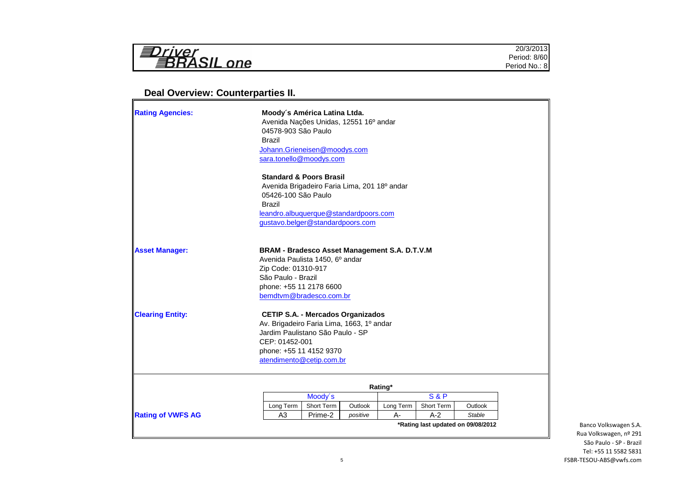| $\sqrt{ }$<br>.<br>$n_{\Omega}$<br>_<br>- 2 | 20/3/2013<br>8/60<br>Period.<br>$\overline{\phantom{a}}$<br>Period<br>'No.<br>ж.<br>. . |
|---------------------------------------------|-----------------------------------------------------------------------------------------|
|                                             |                                                                                         |

# **Deal Overview: Counterparties II.**

| <b>Rating Agencies:</b> | Moody's América Latina Ltda.<br>Avenida Nações Unidas, 12551 16º andar<br>04578-903 São Paulo<br><b>Brazil</b><br>Johann.Grieneisen@moodys.com<br>sara.tonello@moodys.com                               |
|-------------------------|---------------------------------------------------------------------------------------------------------------------------------------------------------------------------------------------------------|
|                         | <b>Standard &amp; Poors Brasil</b><br>Avenida Brigadeiro Faria Lima, 201 18º andar<br>05426-100 São Paulo<br><b>Brazil</b><br>leandro.albuquerque@standardpoors.com<br>gustavo.belger@standardpoors.com |
| <b>Asset Manager:</b>   | BRAM - Bradesco Asset Management S.A. D.T.V.M<br>Avenida Paulista 1450, 6º andar<br>Zip Code: 01310-917<br>São Paulo - Brazil<br>phone: +55 11 2178 6600<br>bemdtvm@bradesco.com.br                     |
| <b>Clearing Entity:</b> | <b>CETIP S.A. - Mercados Organizados</b><br>Av. Brigadeiro Faria Lima, 1663, 1º andar<br>Jardim Paulistano São Paulo - SP<br>CEP: 01452-001<br>phone: +55 11 4152 9370<br>atendimento@cetip.com.br      |
|                         | Rating*<br><b>S&amp;P</b><br>Moody's                                                                                                                                                                    |
|                         | Short Term<br>Outlook<br>Short Term<br>Long Term<br>Long Term<br>Outlook                                                                                                                                |
|                         |                                                                                                                                                                                                         |

 $\overline{\phantom{0}}$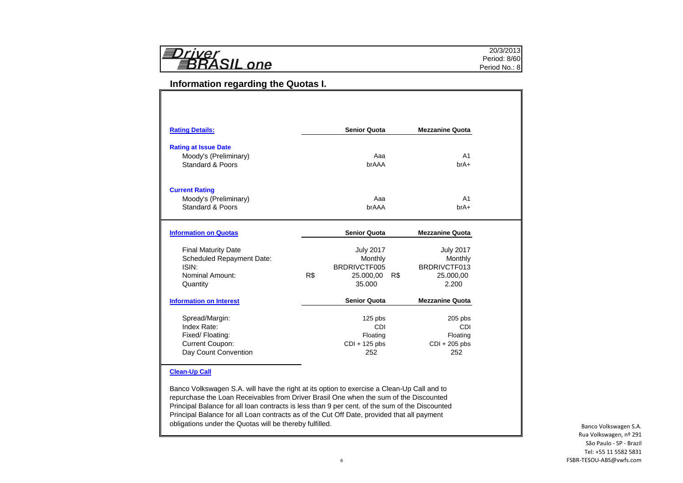| <b>EDriver</b><br><b>EBRASIL</b> one |
|--------------------------------------|
|--------------------------------------|

### **Information regarding the Quotas I.**

| <b>Rating Details:</b>                         |     | <b>Senior Quota</b>    |     | <b>Mezzanine Quota</b>                                  |
|------------------------------------------------|-----|------------------------|-----|---------------------------------------------------------|
| <b>Rating at Issue Date</b>                    |     |                        |     |                                                         |
| Moody's (Preliminary)                          |     | Aaa                    |     | A <sub>1</sub>                                          |
| Standard & Poors                               |     | brAAA                  |     | $brA+$                                                  |
|                                                |     |                        |     |                                                         |
| <b>Current Rating</b><br>Moody's (Preliminary) |     | Aaa                    |     | A <sub>1</sub>                                          |
| Standard & Poors                               |     | brAAA                  |     | $brA+$                                                  |
|                                                |     |                        |     |                                                         |
| <b>Information on Quotas</b>                   |     | <b>Senior Quota</b>    |     | <b>Mezzanine Quota</b>                                  |
| <b>Final Maturity Date</b>                     |     | <b>July 2017</b>       |     | <b>July 2017</b>                                        |
|                                                |     |                        |     |                                                         |
| <b>Scheduled Repayment Date:</b>               |     | Monthly                |     | Monthly                                                 |
| ISIN:                                          |     | BRDRIVCTF005           |     | BRDRIVCTF013                                            |
| Nominal Amount:                                | R\$ | 25.000.00              | R\$ | 25,000.00                                               |
| Quantity                                       |     | 35.000                 |     | 2.200                                                   |
| <b>Information on Interest</b>                 |     | <b>Senior Quota</b>    |     |                                                         |
| Spread/Margin:                                 |     | $125$ pbs              |     | $205$ pbs                                               |
| Index Rate:                                    |     | CDI                    |     |                                                         |
| Fixed/ Floating:                               |     | Floating               |     | Floating                                                |
| <b>Current Coupon:</b><br>Day Count Convention |     | $CDI + 125$ pbs<br>252 |     | <b>Mezzanine Quota</b><br>CDI<br>$CDI + 205$ pbs<br>252 |

#### **Clean-Up Call**

Banco Volkswagen S.A. will have the right at its option to exercise a Clean-Up Call and to repurchase the Loan Receivables from Driver Brasil One when the sum of the Discounted Principal Balance for all loan contracts is less than 9 per cent. of the sum of the Discounted Principal Balance for all Loan contracts as of the Cut Off Date, provided that all payment obligations under the Quotas will be thereby fulfilled.

Banco Volkswagen S.A. Rua Volkswagen, nº 291 São Paulo - SP - Brazil Tel: +55 11 5582 5831 FSBR-TESOU-ABS@vwfs.com

20/3/2013 Period: 8/60 Period No.: 8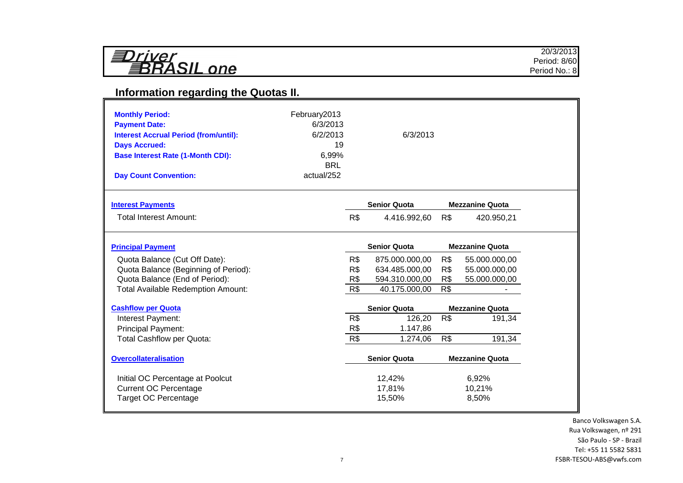| 3 I<br>rrver             |  |
|--------------------------|--|
| <i><b>BRASIL one</b></i> |  |

# **Information regarding the Quotas II.**

| <b>Monthly Period:</b><br><b>Payment Date:</b><br><b>Interest Accrual Period (from/until):</b><br><b>Days Accrued:</b><br><b>Base Interest Rate (1-Month CDI):</b><br><b>Day Count Convention:</b> | February2013<br>6/3/2013<br>6/2/2013<br>19<br>6,99%<br><b>BRL</b><br>actual/252 |     | 6/3/2013            |     |                        |
|----------------------------------------------------------------------------------------------------------------------------------------------------------------------------------------------------|---------------------------------------------------------------------------------|-----|---------------------|-----|------------------------|
| <b>Interest Payments</b>                                                                                                                                                                           |                                                                                 |     | <b>Senior Quota</b> |     | <b>Mezzanine Quota</b> |
| <b>Total Interest Amount:</b>                                                                                                                                                                      |                                                                                 | R\$ | 4.416.992,60        | R\$ | 420.950,21             |
| <b>Principal Payment</b>                                                                                                                                                                           |                                                                                 |     | <b>Senior Quota</b> |     | <b>Mezzanine Quota</b> |
| Quota Balance (Cut Off Date):                                                                                                                                                                      |                                                                                 | R\$ | 875.000.000,00      | R\$ | 55.000.000,00          |
| Quota Balance (Beginning of Period):                                                                                                                                                               |                                                                                 | R\$ | 634.485.000,00      | R\$ | 55.000.000,00          |
| Quota Balance (End of Period):                                                                                                                                                                     |                                                                                 | R\$ | 594.310.000,00      | R\$ | 55.000.000,00          |
| <b>Total Available Redemption Amount:</b>                                                                                                                                                          |                                                                                 | R\$ | 40.175.000,00       | R\$ |                        |
| <b>Cashflow per Quota</b>                                                                                                                                                                          |                                                                                 |     | <b>Senior Quota</b> |     | <b>Mezzanine Quota</b> |
| Interest Payment:                                                                                                                                                                                  |                                                                                 | R\$ | 126,20              | R\$ | 191,34                 |
| <b>Principal Payment:</b>                                                                                                                                                                          |                                                                                 | R\$ | 1.147,86            |     |                        |
| <b>Total Cashflow per Quota:</b>                                                                                                                                                                   |                                                                                 | R\$ | 1.274,06            | R\$ | 191,34                 |
| <b>Overcollateralisation</b>                                                                                                                                                                       |                                                                                 |     | <b>Senior Quota</b> |     | <b>Mezzanine Quota</b> |
| Initial OC Percentage at Poolcut                                                                                                                                                                   |                                                                                 |     | 12,42%              |     | 6,92%                  |
| <b>Current OC Percentage</b>                                                                                                                                                                       |                                                                                 |     | 17,81%              |     | 10,21%                 |
| <b>Target OC Percentage</b>                                                                                                                                                                        |                                                                                 |     | 15,50%              |     | 8,50%                  |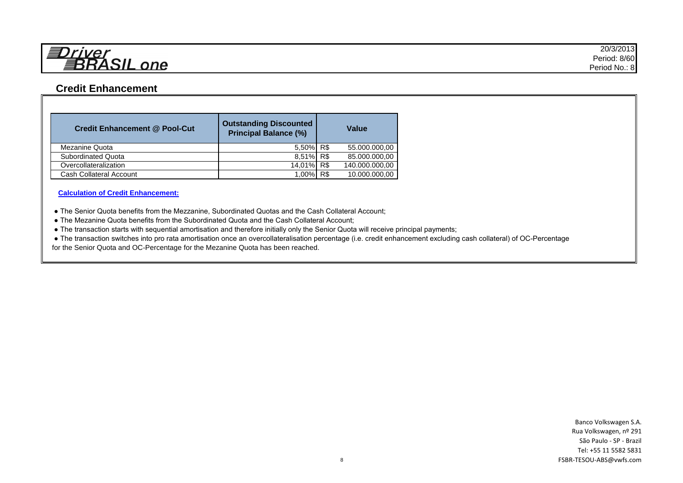

# **Credit Enhancement**

| <b>Credit Enhancement @ Pool-Cut</b> | <b>Outstanding Discounted</b><br><b>Principal Balance (%)</b> |     | Value          |
|--------------------------------------|---------------------------------------------------------------|-----|----------------|
| Mezanine Quota                       | 5,50% R\$                                                     |     | 55.000.000,00  |
| <b>Subordinated Quota</b>            | 8,51% R\$                                                     |     | 85.000.000,00  |
| Overcollateralization                | 14,01% R\$                                                    |     | 140.000.000,00 |
| <b>Cash Collateral Account</b>       | $1.00\%$                                                      | R\$ | 10.000.000,00  |

**Calculation of Credit Enhancement:**

● The Senior Quota benefits from the Mezzanine, Subordinated Quotas and the Cash Collateral Account;

● The Mezanine Quota benefits from the Subordinated Quota and the Cash Collateral Account;

● The transaction starts with sequential amortisation and therefore initially only the Senior Quota will receive principal payments;

 ● The transaction switches into pro rata amortisation once an overcollateralisation percentage (i.e. credit enhancement excluding cash collateral) of OC-Percentage for the Senior Quota and OC-Percentage for the Mezanine Quota has been reached.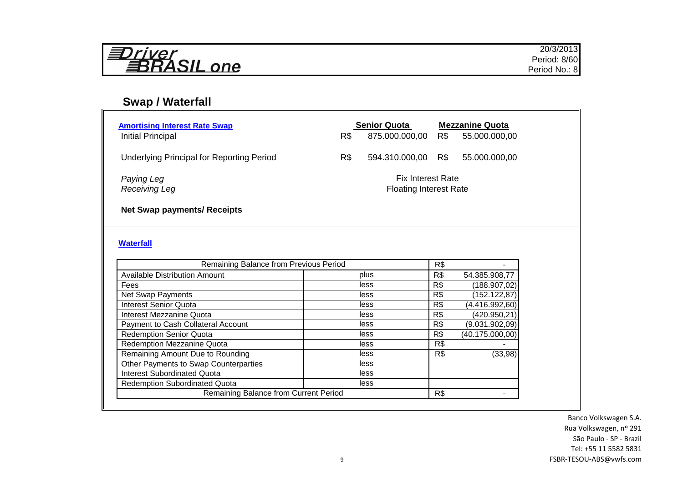| ヨDriver<br>昇RASIL one |  |
|-----------------------|--|
|-----------------------|--|

# **Swap / Waterfall**

| <b>Amortising Interest Rate Swap</b><br>Initial Principal                 | R\$ | <b>Senior Quota</b><br>875.000.000,00                     | R\$ | <b>Mezzanine Quota</b><br>55.000.000,00 |  |
|---------------------------------------------------------------------------|-----|-----------------------------------------------------------|-----|-----------------------------------------|--|
| <b>Underlying Principal for Reporting Period</b>                          | R\$ | 594.310.000,00 R\$                                        |     | 55.000.000,00                           |  |
| Paying Leg<br><b>Receiving Leg</b>                                        |     | <b>Fix Interest Rate</b><br><b>Floating Interest Rate</b> |     |                                         |  |
| <b>Net Swap payments/ Receipts</b>                                        |     |                                                           |     |                                         |  |
| <b>Waterfall</b>                                                          |     |                                                           |     |                                         |  |
|                                                                           |     |                                                           |     |                                         |  |
| Remaining Balance from Previous Period                                    |     |                                                           | R\$ |                                         |  |
| <b>Available Distribution Amount</b>                                      |     | plus                                                      | R\$ | 54.385.908,77                           |  |
| Fees                                                                      |     | less                                                      | R\$ | (188.907,02)                            |  |
| Net Swap Payments                                                         |     | less                                                      | R\$ | (152.122,87)                            |  |
| <b>Interest Senior Quota</b>                                              |     | less                                                      | R\$ | (4.416.992,60)                          |  |
| Interest Mezzanine Quota                                                  |     | less                                                      | R\$ | (420.950, 21)                           |  |
| Payment to Cash Collateral Account                                        |     | less<br>less                                              | R\$ | (9.031.902,09)                          |  |
| <b>Redemption Senior Quota</b>                                            |     | less                                                      | R\$ | (40.175.000,00)                         |  |
| Redemption Mezzanine Quota                                                |     | less                                                      | R\$ |                                         |  |
| Remaining Amount Due to Rounding<br>Other Payments to Swap Counterparties |     | less                                                      | R\$ | (33, 98)                                |  |
| <b>Interest Subordinated Quota</b>                                        |     | less                                                      |     |                                         |  |
| <b>Redemption Subordinated Quota</b>                                      |     | less                                                      |     |                                         |  |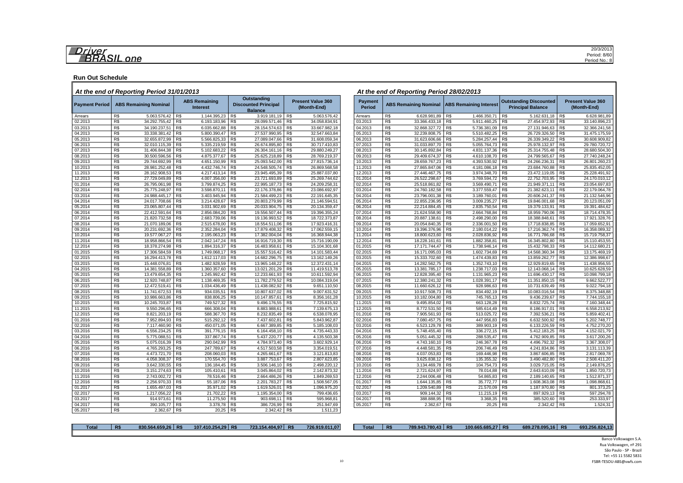#### **Run Out Schedule**

#### *At the end of Reporting Period 31/01/2013 At the end of Reporting Period 28/02/2013*

| <b>Payment Period</b> | <b>ABS Remaining Nominal</b>    |                | <b>ABS Remaining</b><br><b>Interest</b> |     | <b>Outstanding</b><br><b>Discounted Principal</b><br><b>Balance</b> |                | <b>Present Value 360</b><br>(Month-End) | <b>Payment</b><br><b>Period</b> |     | ABS Remaining Nominal ABS Remaining Interest |                |              |                | <b>Outstanding Discounted</b><br><b>Principal Balance</b> |                | <b>Present Value 360</b><br>(Month-End) |
|-----------------------|---------------------------------|----------------|-----------------------------------------|-----|---------------------------------------------------------------------|----------------|-----------------------------------------|---------------------------------|-----|----------------------------------------------|----------------|--------------|----------------|-----------------------------------------------------------|----------------|-----------------------------------------|
| Arrears               | R\$<br>5.063.576,42             | R\$            | 1.144.395,23                            | R\$ | 3.919.181,19                                                        | R\$            | 5.063.576,42                            | Arrears                         | R\$ | 6.628.981,89                                 | R\$            | 1.466.350,71 | R\$            | 5.162.631,18                                              | R\$            | 6.628.981,89                            |
| 02.2013               | R\$<br>34.292.755,42            | R\$            | 6.193.183,96                            | R\$ | 28.099.571,46                                                       | R\$            | 34.058.834,91                           | 03.2013                         | R\$ | 33.366.433,18                                | R\$            | 5.911.460,25 | R\$            | 27.454.972,93                                             | R\$            | 33.140.896,23                           |
| 03.2013               | R\$<br>34.190.237,51            | R\$            | 6.035.662,88                            | R\$ | 28.154.574,63                                                       | R\$            | 33.667.982,18                           | 04.2013                         | R\$ | 32.868.327.72                                | R\$            | 5.736.381,09 | R\$            | 27.131.946,63                                             | R\$            | 32.366.241,58                           |
| 04.2013               | R\$<br>33.338.381,42            | R\$            | 5.800.390,47                            | R\$ | 27.537.990,95                                                       | R\$            | 32.547.663,84                           | 05.2013                         | R\$ | 32.239.808,75                                | R\$            | 5.510.482,25 | R\$            | 26.729.326,50                                             | R\$            | 31.475.175,59                           |
| 05.2013               | R\$<br>32.655.872,99            | R\$            | 5.566.825,33                            | R\$ | 27.089.047,66                                                       | R\$            | 31.608.059,34                           | 06.2013                         | R\$ | 31.623.606,66                                | R\$            | 5.284.257,44 | R\$            | 26.339.349,22                                             | R\$            | 30.608.909,82                           |
| 06.2013               | R\$<br>32.010.115,39            | R\$            | 5.335.219,59                            | R\$ | 26.674.895,80                                                       | R\$            | 30.717.410,83                           | 07.2013                         | R\$ | 31.033.897,70                                | R\$            | 5.055.764,73 | R\$            | 25.978.132,97                                             | R\$            | 29.780.720,72                           |
| 07.2013               | R\$<br>31.406.844.38            | R\$            | 5.102.683,22                            | R\$ | 26.304.161,16                                                       | R\$            | 29.880.249,27                           | 08.2013                         | R\$ | 30.145.892,84                                | R\$            | 4.831.137,36 | R\$            | 25.314.755,48                                             | R\$            | 28.680.504,30                           |
| 08.2013               | R\$<br>30.500.596,56            | R\$            | 4.875.377,67                            | R\$ | 25.625.218,89                                                       | R\$            | 28.769.219,37                           | 09.2013                         | R\$ | 29.409.674,37                                | R\$            | 4.610.108,70 | R\$            | 24.799.565,67                                             | R\$            | 27.740.248,24                           |
| 09.2013               | R\$<br>29.744.692,99            | R\$            | 4.651.150,99                            | R\$ | 25.093.542,00                                                       | R\$            | 27.815.736,14                           | 10.2013                         | R\$ | 28.659.767,23                                | R\$            | 4.393.530,92 | R\$            | 24.266.236,31                                             | R\$            | 26.801.260,23                           |
| 10.2013               | R\$<br>28.981.252,48            | R\$            | 4.432.746.74                            | R\$ | 24.548.505,74                                                       | R\$            | 26.869.568,58                           | 11.2013                         | R\$ | 27.865.847.06                                | R\$            | 4.181.086,18 | R\$            | 23.684.760,88                                             | R\$            | 25.835.452,05                           |
| 11.2013               | R\$<br>28.162.908,53            | R\$            | 4.217.413,14                            | R\$ | 23.945.495,39                                                       | R\$            | 25.887.037,80                           | 12.2013                         | R\$ | 27.446.467,75                                | R\$            | 3.974.348,70 | R\$            | 23.472.119,05                                             | R\$            | 25.228.491,92                           |
| 12.2013               | R\$<br>27.729.049,89            | R\$            | 4.007.356,00                            | R\$ | 23.721.693,89                                                       | R\$            | 25.269.744,62                           | 01.2014                         | R\$ | 26.522.298,67                                | R\$            | 3.769.594,72 | RS             | 22.752.703,95                                             | R\$            | 24.170.010,12                           |
| 01.2014               | R\$<br>26.795.061,98            | R\$            | 3.799.874,25                            | R\$ | 22.995.187,73                                                       | R\$            | 24.209.258,31                           | 02.2014                         | R\$ | 25.518.861,82                                | R\$            | 3.569.490,71 | R\$            | 21.949.371,11                                             | R\$            | 23.054.697,83                           |
| 02.2014               | R\$<br>25.775.248,97            | R\$            | 3.598.870,11                            | R\$ | 22.176.378,86                                                       | R\$            | 23.086.692,97                           | 03.2014                         | RS  | 24.760.182,58                                | R\$            | 3.377.559,47 | R <sub>s</sub> | 21.382.623,11                                             | R <sub>s</sub> | 22.179.064,78                           |
| 03.2014               | R\$<br>24.988.445,17            | R\$            | 3.403.945,94                            | R\$ | 21.584.499,23                                                       | R\$            | 22.191.645,35                           | 04.2014                         | R\$ | 23.796.001,38                                | R\$            | 3.189.760,01 | R\$            | 20.606.241,37                                             | R\$            | 21.132.546,96                           |
| 04.2014               | R\$<br>24.017.708,66            | R\$            | 3.214.428,67                            | R\$ | 20.803.279,99                                                       | R\$            | 21.146.594,51                           | 05.2014                         | R\$ | 22.855.236,95                                | R\$            | 3.009.235,27 | R\$            | 19.846.001,68                                             | R\$            | 20.123.051,09                           |
| 05.2014               | R\$<br>23.065.807,44            | R\$            | 3.031.902,69                            | R\$ | 20.033.904,75                                                       | R\$            | 20.134.359,47                           | 06.2014                         | R\$ | 22.214.884,45                                | R\$            | 2.835.750,54 | R\$            | 19.379.133,91                                             | R\$            | 19.391.484,62                           |
| 06.2014               | R\$<br>22.412.591,64            | R\$            | 2.856.084,20                            | R\$ | 19.556.507,44                                                       | R\$            | 19.396.355,24                           | 07.2014                         | R\$ | 21.624.558,90                                | R\$            | 2.664.768,84 | R\$            | 18.959.790,06                                             | R\$            | 18.714.478,35                           |
| 07.2014               | R\$<br>21.820.732,58            | R\$            | 2.683.739,06                            | R\$ | 19.136.993,52                                                       | R\$            | 18.722.373,87                           | 08.2014                         | R\$ | 20.887.138,61                                | R\$            | 2.498.290,00 | R\$            | 18.388.848,61                                             | R\$            | 17.921.328,76                           |
| 08.2014               | R\$<br>21.070.189,06            | R\$            | 2.515.678,00                            | R\$ | 18.554.511,06                                                       | R\$            | 17.923.416,31                           | 09.2014                         | R\$ | 20.054.840,35                                | R\$            | 2.336.001,50 | R\$            | 17.718.838,85                                             | R\$            | 17.059.652,91                           |
| 09.2014               | R <sub>s</sub><br>20.231.692.36 | R <sub>s</sub> | 2.352.284,04                            | R\$ | 17,879,408,32                                                       | R <sub>s</sub> | 17.062.559.15                           | 10.2014                         | RS  | 19.396.376.96                                | R <sub>s</sub> | 2.180.014.22 | R <sub>s</sub> | 17.216.362,74                                             | R <sub>s</sub> | 16.358.089,32                           |
| 10.2014               | R\$<br>19.577.067,27            | R\$            | 2.195.063,23                            | R\$ | 17.382.004,04                                                       | R\$            | 16.368.944,38                           | 11.2014                         | R\$ | 18.800.623,60                                | R\$            | 2.028.836,92 | R\$            | 16.771.786,68                                             | R\$            | 15.719.758,37                           |
| 11.2014               | R\$<br>18.958.866,54            | R\$            | 2.042.147,24                            | R\$ | 16.916.719,30                                                       | R\$            | 15.716.190,09                           | 12.2014                         | R\$ | 18.228.161,61                                | R\$            | 1.882.358,81 | R\$            | 16.345.802,80                                             | R\$            | 15.110.453,55                           |
| 12.2014               | R\$<br>18.378.274,98            | R\$            | 1.894.316,37                            | R\$ | 16.483.958,61                                                       | R\$            | 15.104.301,68                           | 01.2015                         | R\$ | 17.171.744,47                                | R\$            | 1.738.946,14 | R\$            | 15.432.798,33                                             | R\$            | 14.112.680,21                           |
| 01.2015               | R\$<br>17.306.584,59            | R\$            | 1.749.068,17                            | R\$ | 15.557.516,42                                                       | R\$            | 14.101.583,44                           | 02.2015                         | R\$ | 16.171.095,03                                | R\$            | 1.602.734,69 | R\$            | 14.568.360,34                                             | R\$            | 13.175.469,19                           |
| 02.2015               | R\$<br>16.294.413,78            | R\$            | 1.612.117,03                            | R\$ | 14.682.296,75                                                       | R\$            | 13.162.149,26                           | 03.2015                         | R\$ | 15.333.702,60                                | R\$            | 1.474.439,83 | R\$            | 13.859.262,77                                             | R\$            | 12.386.998,67                           |
| 03.2015               | R\$<br>15.448.076,81            | R\$            | 1.482.928,59                            | R\$ | 13.965.148,22                                                       | R\$            | 12.372.431,14                           | 04.2015                         | R\$ | 14.282.562,75                                | R\$            | 1.352.743,10 | R\$            | 12.929.819,65                                             | R\$            | 11.438.956,55                           |
| 04.2015               | R <sub>s</sub><br>14.381.558.89 | R\$            | 1.360.357.60                            | R\$ | 13.021.201,29                                                       | R\$            | 11.419.513,78                           | 05.2015                         | R\$ | 13,381,785.17                                | R\$            | 1.238.717.03 | R\$            | 12.143.068,14                                             | R\$            | 10.625.628,59                           |
| 05.2015               | R\$<br>13.479.654,35            | R\$            | 1.245.992,42                            | R\$ | 12.233.661,93                                                       | R\$            | 10.611.592,94                           | 06.2015                         | R\$ | 12.828.395,40                                | R\$            | 1.131.965,23 | R\$            | 11.696.430,17                                             | R\$            | 10.098.799,18                           |
| 06.2015               | R\$<br>12.920.748,87            | R\$            | 1.138.469,35                            | R\$ | 11.782.279,52                                                       | R\$            | 10.084.319,04                           | 07.2015                         | R\$ | 12.380.241,32                                | R\$            | 1.028.391,17 | R\$            | 11.351.850,15                                             | R\$            | 9.662.522,77                            |
| 07.2015               | R\$<br>12.472.519,41            | R\$            | 1.034.436.49                            | R\$ | 11.438.082.92                                                       | R\$            | 9.651.110.50                            | 08.2015                         | R\$ | 11.660.626,12                                | R\$            | 928.986.63   | R\$            | 10.731.639,49                                             | R\$            | 9.022.794,18                            |
| 08.2015               | R\$<br>11.741.672,53            | R\$            | 934.035,51                              | R\$ | 10.807.637,02                                                       | R\$            | 9.007.631,52                            | 09.2015                         | R\$ | 10.917.508,73                                | R\$            | 834.492,19   | R\$            | 10.083.016,54                                             | R\$            | 8.375.348,88                            |
| 09.2015               | R\$<br>10.986.663,86            | R\$            | 838.806,25                              | R\$ | 10.147.857,61                                                       | R\$            | 8.356.161,28                            | 10.2015                         | R\$ | 10.182.004,80                                | R\$            | 745.765,13   | R\$            | 9.436.239,67                                              | R\$            | 7.744.155,18                            |
| 10.2015               | R\$<br>10.245.703,87            | R\$            | 749.527.32                              | R\$ | 9.496.176,55                                                        | R\$            | 7.725.815,92                            | 11.2015                         | R\$ | 9.495.854,02                                 | R\$            | 663.128,28   | R\$            | 8.832.725,74                                              | R\$            | 7.160.348,44                            |
| 11.2015               | R\$<br>9.550.296,65             | R\$            | 666.308,04                              | R\$ | 8.883.988,61                                                        | R\$            | 7.139.675,13                            | 12.2015                         | R\$ | 8.772.531,50                                 | R\$            | 585.614,49   | R\$            | 8.186.917,01                                              | R\$            | 6.558.213,92                            |
| 12.2015               | R\$<br>8.821.203,19             | R\$            | 588.367,70                              | R\$ | 8.232.835,49                                                        | R\$            | 6.538.078,95                            | 01.2016                         | R\$ | 7.905.561,93                                 | R\$            | 513.025,72   | R\$            | 7.392.536,21                                              | R\$            | 5.859.402,41                            |
| 01.2016               | R\$<br>7.952.894,93             | R\$            | 515.292,12                              | R\$ | 7.437.602,81                                                        | R\$            | 5.843.962,87                            | 02.2016                         | R\$ | 7.080.457,75                                 | R\$            | 447.956,83   | R\$            | 6.632.500,92                                              | R\$            | 5.202.748,77                            |
| 02.2016               | R\$<br>7.117.460,90             | R\$            | 450.071,05                              | R\$ | 6.667.389,85                                                        | R\$            | 5.185.108,03                            | 03.2016                         | R\$ | 6.523.129,78                                 | R\$            | 389.903,19   | R\$            | 6.133.226,59                                              | R\$            | 4.752.270,20                            |
| 03.2016               | R\$<br>6.556.234,25             | R\$            | 391.776,15                              | R\$ | 6.164.458,10                                                        | R\$            | 4.735.443,33                            | 04.2016                         | R\$ | 5.748.455,40                                 | R\$            | 336.272,15   | R\$            | 5.412.183,25                                              | R\$            | 4.152.021,79                            |
| 04.2016               | R\$<br>5.775.088,51             | R\$            | 337.867,74                              | R\$ | 5.437.220,77                                                        | R\$            | 4.135.503,38                            | 05.2016                         | RS  | 5.051.445,32                                 | R\$            | 288.535,47   | R\$            | 4.762.909,85                                              | R\$            | 3.617.200,26                            |
| 05.2016               | R\$<br>5.075.016,39             | R\$            | 290.042.99                              | R\$ | 4.784.973,40                                                        | R\$            | 3.602.929,14                            | 06.2016                         | R\$ | 4.743.160,10                                 | R\$            | 246.367,78   | R <sub>s</sub> | 4.496.792,32                                              | R\$            | 3.367.308,07                            |
| 06.2016               | R\$<br>4.765.293,25             | R\$            | 247.789,67                              | R\$ | 4.517.503,58                                                        | R\$            | 3.354.019,51                            | 07.2016                         | R\$ | 4.448.581,35                                 | R\$            | 206.746,49   | R <sub>s</sub> | 4.241.834,86                                              | R\$            | 3.131.113,39                            |
| 07.2016               | R\$<br>4.473.721,70             | R\$            | 208.060,03                              | R\$ | 4.265.661,67                                                        | R\$            | 3.121.813,83                            | 08.2016                         | R\$ | 4.037.053,83                                 | R\$            | 169.446,98   | R\$            | 3.867.606,85                                              | R\$            | 2.817.069,78                            |
| 08.2016               | R\$<br>4.058.308,37             | R\$            | 170.554,70                              | R\$ | 3.887.753,67                                                        | R\$            | 2.807.623,85                            | 09.2016                         | R\$ | 3.625.838,12                                 | R\$            | 135.355,32   | R\$            | 3.490.482,80                                              | R\$            | 2.508.411,20                            |
| 09.2016               | R\$<br>3.642.330,55             | R\$            | 136.184,45                              | R\$ | 3.506.146,10                                                        | R\$            | 2.498.220,12                            | 10.2016                         | R\$ | 3.134.469,78                                 | R\$            | 104.754,73   | RS             | 3.029.715,05                                              | R\$            | 2.149.876,25                            |
| 10.2016               | R\$<br>3.151.274,63             | R\$            | 105.410,61                              | R\$ | 3.045.864,02                                                        | R\$            | 2.142.873,32                            | 11.2016                         | R\$ | 2.721.624,97                                 | R\$            | 78.014,88    | R\$            | 2.643.610,09                                              | R\$            | 1.850.720,73                            |
| 11.2016               | R\$<br>2.743.002,72             | R\$            | 78.516,46                               | R\$ | 2.664.486,26                                                        | R\$            | 1.849.269,53                            | 12.2016                         | R\$ | 2.244.006,48                                 | R\$            | 54.865,83    | R\$            | 2.189.140,65                                              | R\$            | 1.512.871,37                            |
| 12.2016               | R\$<br>2.256.970,33             | R\$            | 55.187,06                               | R\$ | 2.201.783,27                                                        | R\$            | 1.508.567,05                            | 01.2017                         | R\$ | 1.644.135,85                                 | R\$            | 35.772,77    | R\$            | 1.608.363,08                                              | R\$            | 1.098.868,61                            |
| 01.2017               | R\$<br>1.655.497.03             | R\$            | 35.971.02                               | R\$ | 1.619.526.01                                                        | R <sub>s</sub> | 1.096.975,20                            | 02.2017                         | R\$ | 1.209.540,89                                 | R\$            | 21.570,09    | R <sub>s</sub> | 1.187.970.80                                              | R\$            | 801.373,25                              |
| 02.2017               | R\$<br>1.217.056,22             | R\$            | 21.702,22                               | R\$ | 1.195.354,00                                                        | R\$            | 799.436,65                              | 03.2017                         | R\$ | 909.144,32                                   | R\$            | 11.215,19    | R\$            | 897.929,13                                                | R\$            | 597.294,78                              |
| 03.2017               | R\$<br>914.973,61               | R\$            | 11.275,50                               | R\$ | 903.698,11                                                          | R\$            | 595.968,81                              | 04.2017                         | R\$ | 388.888,95                                   | R\$            | 3.368,35     | R\$            | 385.520,60                                                | R\$            | 253.333,97                              |
| 04.2017               | R\$                             | R\$            | 3.378,78                                | R\$ | 386.726,99                                                          | R\$            |                                         | 05.2017                         | R\$ | 2.362.67                                     | R\$            | 20,25        | R\$            | 2.342,42                                                  | R\$            | 1.524,31                                |
|                       | 390.105,77                      |                |                                         |     |                                                                     |                | 251.947,69                              |                                 |     |                                              |                |              |                |                                                           |                |                                         |
| 05.2017               | R\$<br>2.362,67                 | R\$            | 20,25 R\$                               |     | 2.342,42 R\$                                                        |                | 1.511,23                                |                                 |     |                                              |                |              |                |                                                           |                |                                         |

| <b>Payment</b><br><b>Period</b> |            | <b>ABS Remaining Nominal</b> |                        | <b>ABS Remaining Interest</b> |            | <b>Outstanding Discounted</b><br><b>Principal Balance</b> |            | <b>Present Value 360</b><br>(Month-End) |
|---------------------------------|------------|------------------------------|------------------------|-------------------------------|------------|-----------------------------------------------------------|------------|-----------------------------------------|
| Arrears                         | R\$        | 6.628.981,89                 | R\$                    | 1.466.350,71                  | R\$        | 5.162.631,18                                              | R\$        | 6.628.981,89                            |
| 03.2013                         | R\$        | 33.366.433,18                | R\$                    | 5.911.460,25                  | R\$        | 27.454.972,93                                             | R\$        | 33.140.896,23                           |
| 04.2013                         | R\$        | 32.868.327.72                | R\$                    | 5.736.381.09                  | R\$        | 27.131.946.63                                             | R\$        | 32.366.241.58                           |
| 05.2013                         | R\$        | 32.239.808,75                | R\$                    | 5.510.482,25                  | R\$        | 26.729.326,50                                             | R\$        | 31.475.175,59                           |
| 06.2013                         | R\$        | 31.623.606,66                | R\$                    | 5.284.257,44                  | R\$        | 26.339.349,22                                             | R\$        | 30.608.909,82                           |
| 07.2013                         | R\$        | 31.033.897,70                | R\$                    | 5.055.764,73                  | R\$        | 25.978.132,97                                             | R\$        | 29.780.720,72                           |
| 08.2013                         | R\$        | 30.145.892,84                | R\$                    | 4.831.137,36                  | R\$        | 25.314.755,48                                             | R\$        | 28.680.504,30                           |
| 09.2013                         | R\$        | 29.409.674,37                | R\$                    | 4.610.108,70                  | R\$        | 24.799.565,67                                             | R\$        | 27.740.248,24                           |
| 10.2013                         | R\$        | 28.659.767,23                | R\$                    | 4.393.530,92                  | R\$        | 24.266.236,31                                             | R\$        | 26.801.260,23                           |
| 11.2013                         | R\$        | 27.865.847,06                | R\$                    | 4.181.086.18                  | R\$        | 23.684.760.88                                             | R\$        | 25.835.452,05                           |
| 12.2013                         | R\$        | 27.446.467,75                | R\$                    | 3.974.348,70                  | R\$        | 23.472.119,05                                             | R\$        | 25.228.491,92                           |
| 01.2014                         | R\$        | 26.522.298,67                | R\$                    | 3.769.594,72                  | R\$        | 22.752.703,95                                             | R\$        | 24.170.010,12                           |
| 02.2014                         | R\$        | 25.518.861,82                | R\$                    | 3.569.490,71                  | R\$        | 21.949.371,11                                             | R\$        | 23.054.697,83                           |
| 03.2014                         | R\$        | 24.760.182,58                | R\$                    | 3.377.559,47                  | R\$        | 21.382.623,11                                             | R\$        | 22.179.064,78                           |
| 04.2014                         | R\$        | 23.796.001,38                | R\$                    | 3.189.760,01                  | R\$        | 20.606.241,37                                             | R\$        | 21.132.546,96                           |
| 05.2014                         | R\$        | 22.855.236,95                | R\$                    | 3.009.235,27                  | R\$        | 19.846.001,68                                             | R\$        | 20.123.051,09                           |
| 06.2014                         | R\$        | 22.214.884,45                | R\$                    | 2.835.750,54                  | R\$        | 19.379.133,91                                             | R\$        | 19.391.484,62                           |
| 07.2014                         | R\$        | 21.624.558,90                | R\$                    | 2.664.768,84                  | R\$        | 18.959.790,06                                             | R\$        | 18.714.478,35                           |
| 08.2014                         | R\$        | 20.887.138,61                | R\$                    | 2.498.290,00                  | R\$        | 18.388.848,61                                             | R\$        | 17.921.328,76                           |
| 09.2014                         | R\$        | 20.054.840,35                | R\$                    | 2.336.001,50                  | R\$        | 17.718.838,85                                             | R\$        | 17.059.652,91                           |
| 10.2014                         | R\$        | 19.396.376,96                | R\$                    | 2.180.014,22                  | R\$        | 17.216.362,74                                             | R\$        | 16.358.089,32                           |
| 11.2014                         | R\$        | 18.800.623,60                | R\$                    | 2.028.836,92                  | R\$        | 16.771.786,68                                             | R\$        | 15.719.758,37                           |
| 12.2014                         | R\$        | 18.228.161,61                | R\$                    | 1.882.358,81                  | R\$        | 16.345.802,80                                             | R\$        | 15.110.453,55                           |
| 01.2015                         | R\$        | 17.171.744,47                | R\$                    | 1.738.946,14                  | R\$        | 15.432.798,33                                             | R\$        | 14.112.680,21                           |
| 02.2015                         | R\$        | 16.171.095,03                | R\$                    | 1.602.734,69                  | R\$        | 14.568.360,34                                             | R\$        | 13.175.469,19                           |
| 03.2015                         | R\$        | 15.333.702.60                | R\$                    | 1.474.439.83                  | R\$        | 13.859.262.77                                             | R\$        | 12.386.998.67                           |
| 04.2015                         | R\$        | 14.282.562,75                | R\$                    | 1.352.743,10                  | R\$        | 12.929.819,65                                             | R\$        | 11.438.956,55                           |
| 05.2015                         | R\$        | 13.381.785,17                | R\$                    | 1.238.717,03                  | R\$        | 12.143.068,14                                             | R\$        | 10.625.628,59                           |
| 06.2015                         | R\$        | 12.828.395,40                | R\$                    | 1.131.965,23                  | R\$        | 11.696.430,17                                             | R\$        | 10.098.799,18                           |
| 07.2015                         | R\$        | 12.380.241,32                | R\$                    | 1.028.391,17                  | R\$        | 11.351.850,15                                             | R\$        | 9.662.522,77                            |
| 08.2015                         | R\$        | 11.660.626,12                | R\$                    | 928.986,63                    | R\$        | 10.731.639,49                                             | R\$        | 9.022.794,18                            |
| 09.2015                         | R\$        | 10.917.508,73                | R\$                    | 834.492,19                    | R\$        | 10.083.016,54                                             | R\$        | 8.375.348,88                            |
| 10.2015                         | R\$        | 10.182.004.80                | R\$                    | 745.765,13                    | R\$        | 9.436.239,67                                              | R\$        | 7.744.155,18                            |
| 11.2015                         | R\$        | 9.495.854,02                 | R\$                    | 663.128,28                    | R\$        | 8.832.725,74                                              | R\$        | 7.160.348,44                            |
| 12.2015                         | R\$        | 8.772.531,50                 | R\$                    | 585.614,49                    | R\$        | 8.186.917,01                                              | R\$        | 6.558.213,92                            |
| 01.2016                         | R\$        | 7.905.561,93                 | R\$                    | 513.025,72                    | R\$        | 7.392.536,21                                              | R\$        | 5.859.402,41                            |
| 02.2016                         | R\$        | 7.080.457,75                 | R\$                    | 447.956,83                    | R\$        | 6.632.500,92                                              | R\$        | 5.202.748,77                            |
| 03.2016                         | R\$        | 6.523.129,78                 | R\$                    | 389.903,19                    | R\$        | 6.133.226,59                                              | R\$        | 4.752.270,20                            |
| 04.2016                         | R\$        | 5.748.455,40                 | R\$                    | 336.272,15                    | R\$<br>R\$ | 5.412.183,25                                              | R\$        | 4.152.021,79                            |
| 05.2016<br>06.2016              | R\$<br>R\$ | 5.051.445,32<br>4.743.160,10 | R\$<br>R\$             | 288.535,47<br>246.367,78      | R\$        | 4.762.909,85<br>4.496.792,32                              | R\$<br>R\$ | 3.617.200,26<br>3.367.308,07            |
| 07.2016                         | R\$        |                              | R\$                    |                               | R\$        |                                                           | R\$        |                                         |
| 08.2016                         | R\$        | 4.448.581,35<br>4.037.053,83 | R\$                    | 206.746,49<br>169.446,98      | R\$        | 4.241.834,86<br>3.867.606,85                              | R\$        | 3.131.113,39<br>2.817.069,78            |
| 09.2016                         | R\$        | 3.625.838,12                 | R\$                    | 135.355,32                    | R\$        | 3.490.482,80                                              | R\$        | 2.508.411,20                            |
| 10.2016                         | R\$        | 3.134.469.78                 | R\$                    | 104.754.73                    | R\$        | 3.029.715.05                                              | R\$        | 2.149.876.25                            |
| 11.2016                         | R\$        | 2.721.624,97                 | R\$                    | 78.014,88                     | R\$        | 2.643.610,09                                              | R\$        | 1.850.720,73                            |
| 12.2016                         | R\$        | 2.244.006,48                 | $\overline{\text{RS}}$ | 54.865,83                     | R\$        | 2.189.140,65                                              | R\$        | 1.512.871,37                            |
| 01.2017                         | R\$        | 1.644.135,85                 | R\$                    | 35.772,77                     | R\$        | 1.608.363,08                                              | R\$        | 1.098.868,61                            |
| 02.2017                         | R\$        | 1.209.540,89                 | R\$                    | 21.570,09                     | R\$        | 1.187.970,80                                              | R\$        | 801.373,25                              |
| 03.2017                         | R\$        | 909.144.32                   | R\$                    |                               |            |                                                           | R\$        |                                         |
| 04.2017                         | R\$        | 388.888,95                   | R\$                    | 11.215,19<br>3.368,35         | R\$<br>R\$ | 897.929,13<br>385.520,60                                  | R\$        | 597.294,78<br>253.333,97                |
|                                 |            |                              |                        |                               |            | 2.342,42                                                  |            |                                         |

#### **Total R\$ 830.564.659,26 R\$ 107.410.254,29 R\$ 723.154.404,97 R\$ 726.919.011,07 Total R\$ 789.943.780,43 R\$ 100.665.685,27 R\$ 689.278.095,16 R\$ 693.256.824,13**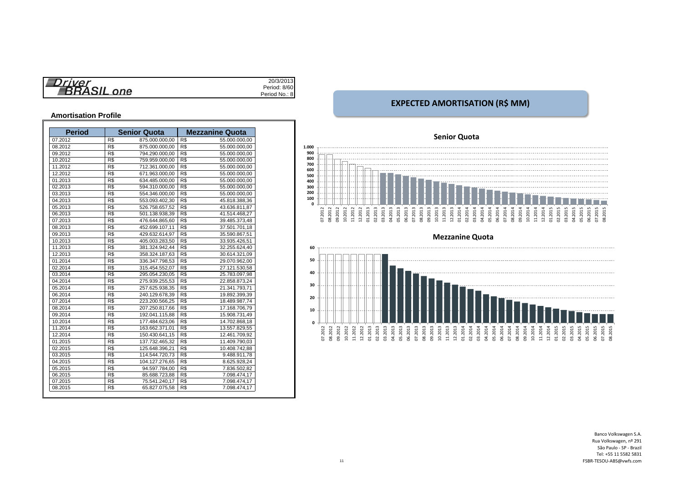| $r$ iver | 20/3/2013     |
|----------|---------------|
|          | Period: 8/60  |
| one<br>÷ | Period No.: 8 |

#### **Amortisation Profile**

| <b>Period</b> |     | <b>Senior Quota</b> |     | <b>Mezzanine Quota</b> |
|---------------|-----|---------------------|-----|------------------------|
| 07.2012       | R\$ | 875.000.000,00      | R\$ | 55.000.000,00          |
| 08.2012       | R\$ | 875.000.000,00      | R\$ | 55.000.000,00          |
| 09.2012       | R\$ | 794.290.000.00      | R\$ | 55.000.000,00          |
| 10.2012       | R\$ | 759.959.000,00      | R\$ | 55.000.000,00          |
| 11.2012       | R\$ | 712.361.000,00      | R\$ | 55.000.000,00          |
| 12.2012       | R\$ | 671.963.000.00      | R\$ | 55.000.000,00          |
| 01.2013       | R\$ | 634.485.000,00      | R\$ | 55.000.000,00          |
| 02.2013       | R\$ | 594.310.000,00      | R\$ | 55.000.000,00          |
| 03.2013       | R\$ | 554.346.000,00      | R\$ | 55.000.000,00          |
| 04.2013       | R\$ | 553.093.402,30      | R\$ | 45.818.388,36          |
| 05.2013       | R\$ | 526.758.657,52      | R\$ | 43.636.811,87          |
| 06.2013       | R\$ | 501.138.938,39      | R\$ | 41.514.468,27          |
| 07.2013       | R\$ | 476.644.865.60      | R\$ | 39.485.373.48          |
| 08.2013       | R\$ | 452.699.107,11      | R\$ | 37.501.701,18          |
| 09.2013       | R\$ | 429.632.614,97      | R\$ | 35.590.867,51          |
| 10.2013       | R\$ | 405.003.283.50      | R\$ | 33.935.426,51          |
| 11.2013       | R\$ | 381.324.942,44      | R\$ | 32.255.624,40          |
| 12.2013       | R\$ | 358.324.187,63      | R\$ | 30.614.321,09          |
| 01.2014       | R\$ | 336.347.798,53      | R\$ | 29.070.962,00          |
| 02.2014       | R\$ | 315.454.552,07      | R\$ | 27.121.530,58          |
| 03.2014       | R\$ | 295.054.230,05      | R\$ | 25.783.097,98          |
| 04.2014       | R\$ | 275.939.255,53      | R\$ | 22.858.873,24          |
| 05.2014       | R\$ | 257.625.938.35      | R\$ | 21.341.793,71          |
| 06.2014       | R\$ | 240.129.678,39      | R\$ | 19.892.399,39          |
| 07.2014       | R\$ | 223.200.566,25      | R\$ | 18.489.987,74          |
| 08.2014       | R\$ | 207.250.817.66      | R\$ | 17.168.706,79          |
| 09.2014       | R\$ | 192.041.115.88      | R\$ | 15.908.731,49          |
| 10.2014       | R\$ | 177.484.623,06      | R\$ | 14.702.868,18          |
| 11.2014       | R\$ | 163.662.371,01      | R\$ | 13.557.829,55          |
| 12.2014       | R\$ | 150.430.641,15      | R\$ | 12.461.709,92          |
| 01.2015       | R\$ | 137.732.465,32      | R\$ | 11.409.790,03          |
| 02.2015       | R\$ | 125.648.396,21      | R\$ | 10.408.742,88          |
| 03.2015       | R\$ | 114.544.720.73      | R\$ | 9.488.911.78           |
| 04.2015       | R\$ | 104.127.276,65      | R\$ | 8.625.928.24           |
| 05.2015       | R\$ | 94.597.784,00       | R\$ | 7.836.502,82           |
| 06.2015       | R\$ | 85.688.723,88       | R\$ | 7.098.474,17           |
| 07.2015       | R\$ | 75.541.240,17       | R\$ | 7.098.474,17           |
| 08.2015       | R\$ | 65.827.075,58       | R\$ | 7.098.474,17           |

### **EXPECTED AMORTISATION (R\$ MM)**

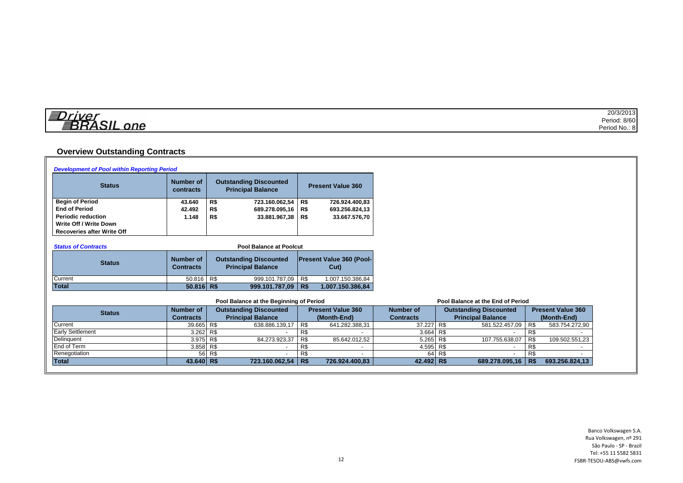| 僵<br>$\cdots$        | 20/3/2013     |
|----------------------|---------------|
| $\sim$<br>$\sim$ 400 | Period: 8/60  |
| ne                   | Period No.: 8 |

# **Overview Outstanding Contracts**

| <b>Development of Pool within Reporting Period</b> |                               |                                                           |                                 |                  |                                   |                          |
|----------------------------------------------------|-------------------------------|-----------------------------------------------------------|---------------------------------|------------------|-----------------------------------|--------------------------|
| <b>Status</b>                                      | <b>Number of</b><br>contracts | <b>Outstanding Discounted</b><br><b>Principal Balance</b> | <b>Present Value 360</b>        |                  |                                   |                          |
| <b>Begin of Period</b>                             | 43.640                        | 723.160.062,54<br>R\$                                     | R\$<br>726.924.400,83           |                  |                                   |                          |
| <b>End of Period</b>                               | 42.492                        | R\$<br>689.278.095,16 R\$                                 | 693.256.824,13                  |                  |                                   |                          |
| <b>Periodic reduction</b>                          | 1.148                         | R\$<br>33.881.967,38                                      | R\$<br>33.667.576,70            |                  |                                   |                          |
| Write Off / Write Down                             |                               |                                                           |                                 |                  |                                   |                          |
| <b>Recoveries after Write Off</b>                  |                               |                                                           |                                 |                  |                                   |                          |
|                                                    |                               |                                                           |                                 |                  |                                   |                          |
| <b>Status of Contracts</b>                         |                               | <b>Pool Balance at Poolcut</b>                            |                                 |                  |                                   |                          |
|                                                    | <b>Number of</b>              | <b>Outstanding Discounted</b>                             | <b>Present Value 360 (Pool-</b> |                  |                                   |                          |
| <b>Status</b>                                      | <b>Contracts</b>              | <b>Principal Balance</b>                                  | $Cut$ )                         |                  |                                   |                          |
| Current                                            | $50.816$ R\$                  | 999.101.787,09 R\$                                        | 1.007.150.386,84                |                  |                                   |                          |
| <b>Total</b>                                       | $50.816$ R\$                  | 999.101.787,09   R\$                                      | 1.007.150.386,84                |                  |                                   |                          |
|                                                    |                               | Pool Balance at the Beginning of Period                   |                                 |                  | Pool Balance at the End of Period |                          |
| <b>Status</b>                                      | <b>Number of</b>              | <b>Outstanding Discounted</b>                             | <b>Present Value 360</b>        | <b>Number of</b> | <b>Outstanding Discounted</b>     | <b>Present Value 360</b> |
|                                                    | <b>Contracts</b>              | <b>Principal Balance</b>                                  | (Month-End)                     | <b>Contracts</b> | <b>Principal Balance</b>          | (Month-End)              |
| Current                                            | 39.665 R\$                    | 638.886.139,17                                            | R\$<br>641.282.388,31           | 37.227           | R\$<br>581.522.457,09             | R\$<br>583.754.272,90    |
| <b>Early Settlement</b>                            | 3.262                         | R\$                                                       | R\$                             | 3.664            | R\$                               | R\$                      |
| Delinquent                                         | 3.975 R\$                     | 84.273.923,37                                             | R\$<br>85.642.012,52            | 5.265 R\$        | 107.755.638,07                    | R\$<br>109.502.551,23    |
| <b>End of Term</b>                                 | 3.858 R\$                     | $\overline{\phantom{0}}$                                  | R\$                             | 4.595 R\$        | $\overline{\phantom{a}}$          | R\$                      |
| Renegotiation                                      | 56                            | R\$                                                       | R\$                             | 64               | R\$                               | R\$                      |
| <b>Total</b>                                       | 43.640 R\$                    | 723.160.062,54                                            | <b>R\$</b><br>726.924.400,83    | $42.492$ R\$     | 689.278.095,16 R\$                | 693.256.824,13           |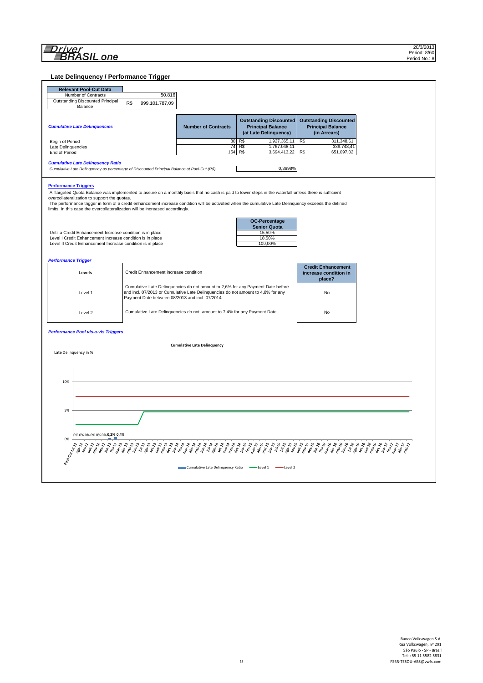**Late Delinquency / Performance Trigger**

| <b>Relevant Pool-Cut Data</b><br>Number of Contracts<br>50.816<br>Outstanding Discounted Principal<br>R\$<br>999.101.787,09<br>Balance<br><b>Outstanding Discounted</b><br><b>Outstanding Discounted</b><br><b>Cumulative Late Delinquencies</b><br><b>Principal Balance</b><br><b>Principal Balance</b><br><b>Number of Contracts</b><br>(at Late Delinquency)<br>(in Arrears)<br>80<br>R\$<br>1.927.365,11 R\$<br>311.348,61<br>Begin of Period<br>74<br>1.767.048,11<br>339.748,41<br>R\$<br>Late Delinquencies<br>End of Period<br>154 R\$<br>3.694.413,22<br>R\$<br>651.097,02<br><b>Cumulative Late Delinquency Ratio</b><br>0,3698%<br>Cumulative Late Delinquency as percentage of Discounted Principal Balance at Pool-Cut (R\$)<br><b>Performance Triggers</b><br>A Targeted Quota Balance was implemented to assure on a monthly basis that no cash is paid to lower steps in the waterfall unless there is sufficient<br>overcollateralization to support the quotas.<br>The performance trigger in form of a credit enhancement increase condition will be activated when the cumulative Late Delinquency exceeds the defined<br>limits. In this case the overcollateralization will be increased accordingly.<br><b>OC-Percentage</b><br><b>Senior Quota</b><br>15,50%<br>Until a Credit Enhancement Increase condition is in place<br>18,50%<br>Level I Credit Enhancement Increase condition is in place<br>100,00%<br>Level II Credit Enhancement Increase condition is in place<br>Performance Trigger<br><b>Credit Enhancement</b><br>Credit Enhancement increase condition<br>Levels<br>increase condition in<br>place?<br>Cumulative Late Delinquencies do not amount to 2,6% for any Payment Date before<br>and incl. 07/2013 or Cumulative Late Delinguencies do not amount to 4,8% for any<br>No<br>Level 1<br>Payment Date between 08/2013 and incl. 07/2014<br>Cumulative Late Delinquencies do not amount to 7,4% for any Payment Date<br>No<br>Level 2<br><b>Performance Pool vis-a-vis Triggers</b><br><b>Cumulative Late Delinquency</b><br>Late Delinquency in %<br>10%<br>5%<br>0% 0% 0% 0% 0% 0% 0,2% 0,4%<br>0%<br>Pool Cut Milt2<br>š,<br>Cumulative Late Delinquency Ratio - Level 1 -<br>-Level 2 |  |  |  |  |  |  |  |  |
|----------------------------------------------------------------------------------------------------------------------------------------------------------------------------------------------------------------------------------------------------------------------------------------------------------------------------------------------------------------------------------------------------------------------------------------------------------------------------------------------------------------------------------------------------------------------------------------------------------------------------------------------------------------------------------------------------------------------------------------------------------------------------------------------------------------------------------------------------------------------------------------------------------------------------------------------------------------------------------------------------------------------------------------------------------------------------------------------------------------------------------------------------------------------------------------------------------------------------------------------------------------------------------------------------------------------------------------------------------------------------------------------------------------------------------------------------------------------------------------------------------------------------------------------------------------------------------------------------------------------------------------------------------------------------------------------------------------------------------------------------------------------------------------------------------------------------------------------------------------------------------------------------------------------------------------------------------------------------------------------------------------------------------------------------------------------------------------------------------------------------------------------------------------------------------------------------------------------------------------|--|--|--|--|--|--|--|--|
|                                                                                                                                                                                                                                                                                                                                                                                                                                                                                                                                                                                                                                                                                                                                                                                                                                                                                                                                                                                                                                                                                                                                                                                                                                                                                                                                                                                                                                                                                                                                                                                                                                                                                                                                                                                                                                                                                                                                                                                                                                                                                                                                                                                                                                        |  |  |  |  |  |  |  |  |
|                                                                                                                                                                                                                                                                                                                                                                                                                                                                                                                                                                                                                                                                                                                                                                                                                                                                                                                                                                                                                                                                                                                                                                                                                                                                                                                                                                                                                                                                                                                                                                                                                                                                                                                                                                                                                                                                                                                                                                                                                                                                                                                                                                                                                                        |  |  |  |  |  |  |  |  |
|                                                                                                                                                                                                                                                                                                                                                                                                                                                                                                                                                                                                                                                                                                                                                                                                                                                                                                                                                                                                                                                                                                                                                                                                                                                                                                                                                                                                                                                                                                                                                                                                                                                                                                                                                                                                                                                                                                                                                                                                                                                                                                                                                                                                                                        |  |  |  |  |  |  |  |  |
|                                                                                                                                                                                                                                                                                                                                                                                                                                                                                                                                                                                                                                                                                                                                                                                                                                                                                                                                                                                                                                                                                                                                                                                                                                                                                                                                                                                                                                                                                                                                                                                                                                                                                                                                                                                                                                                                                                                                                                                                                                                                                                                                                                                                                                        |  |  |  |  |  |  |  |  |
|                                                                                                                                                                                                                                                                                                                                                                                                                                                                                                                                                                                                                                                                                                                                                                                                                                                                                                                                                                                                                                                                                                                                                                                                                                                                                                                                                                                                                                                                                                                                                                                                                                                                                                                                                                                                                                                                                                                                                                                                                                                                                                                                                                                                                                        |  |  |  |  |  |  |  |  |
|                                                                                                                                                                                                                                                                                                                                                                                                                                                                                                                                                                                                                                                                                                                                                                                                                                                                                                                                                                                                                                                                                                                                                                                                                                                                                                                                                                                                                                                                                                                                                                                                                                                                                                                                                                                                                                                                                                                                                                                                                                                                                                                                                                                                                                        |  |  |  |  |  |  |  |  |
|                                                                                                                                                                                                                                                                                                                                                                                                                                                                                                                                                                                                                                                                                                                                                                                                                                                                                                                                                                                                                                                                                                                                                                                                                                                                                                                                                                                                                                                                                                                                                                                                                                                                                                                                                                                                                                                                                                                                                                                                                                                                                                                                                                                                                                        |  |  |  |  |  |  |  |  |
|                                                                                                                                                                                                                                                                                                                                                                                                                                                                                                                                                                                                                                                                                                                                                                                                                                                                                                                                                                                                                                                                                                                                                                                                                                                                                                                                                                                                                                                                                                                                                                                                                                                                                                                                                                                                                                                                                                                                                                                                                                                                                                                                                                                                                                        |  |  |  |  |  |  |  |  |
|                                                                                                                                                                                                                                                                                                                                                                                                                                                                                                                                                                                                                                                                                                                                                                                                                                                                                                                                                                                                                                                                                                                                                                                                                                                                                                                                                                                                                                                                                                                                                                                                                                                                                                                                                                                                                                                                                                                                                                                                                                                                                                                                                                                                                                        |  |  |  |  |  |  |  |  |
|                                                                                                                                                                                                                                                                                                                                                                                                                                                                                                                                                                                                                                                                                                                                                                                                                                                                                                                                                                                                                                                                                                                                                                                                                                                                                                                                                                                                                                                                                                                                                                                                                                                                                                                                                                                                                                                                                                                                                                                                                                                                                                                                                                                                                                        |  |  |  |  |  |  |  |  |
|                                                                                                                                                                                                                                                                                                                                                                                                                                                                                                                                                                                                                                                                                                                                                                                                                                                                                                                                                                                                                                                                                                                                                                                                                                                                                                                                                                                                                                                                                                                                                                                                                                                                                                                                                                                                                                                                                                                                                                                                                                                                                                                                                                                                                                        |  |  |  |  |  |  |  |  |
|                                                                                                                                                                                                                                                                                                                                                                                                                                                                                                                                                                                                                                                                                                                                                                                                                                                                                                                                                                                                                                                                                                                                                                                                                                                                                                                                                                                                                                                                                                                                                                                                                                                                                                                                                                                                                                                                                                                                                                                                                                                                                                                                                                                                                                        |  |  |  |  |  |  |  |  |
|                                                                                                                                                                                                                                                                                                                                                                                                                                                                                                                                                                                                                                                                                                                                                                                                                                                                                                                                                                                                                                                                                                                                                                                                                                                                                                                                                                                                                                                                                                                                                                                                                                                                                                                                                                                                                                                                                                                                                                                                                                                                                                                                                                                                                                        |  |  |  |  |  |  |  |  |
|                                                                                                                                                                                                                                                                                                                                                                                                                                                                                                                                                                                                                                                                                                                                                                                                                                                                                                                                                                                                                                                                                                                                                                                                                                                                                                                                                                                                                                                                                                                                                                                                                                                                                                                                                                                                                                                                                                                                                                                                                                                                                                                                                                                                                                        |  |  |  |  |  |  |  |  |
|                                                                                                                                                                                                                                                                                                                                                                                                                                                                                                                                                                                                                                                                                                                                                                                                                                                                                                                                                                                                                                                                                                                                                                                                                                                                                                                                                                                                                                                                                                                                                                                                                                                                                                                                                                                                                                                                                                                                                                                                                                                                                                                                                                                                                                        |  |  |  |  |  |  |  |  |
|                                                                                                                                                                                                                                                                                                                                                                                                                                                                                                                                                                                                                                                                                                                                                                                                                                                                                                                                                                                                                                                                                                                                                                                                                                                                                                                                                                                                                                                                                                                                                                                                                                                                                                                                                                                                                                                                                                                                                                                                                                                                                                                                                                                                                                        |  |  |  |  |  |  |  |  |
|                                                                                                                                                                                                                                                                                                                                                                                                                                                                                                                                                                                                                                                                                                                                                                                                                                                                                                                                                                                                                                                                                                                                                                                                                                                                                                                                                                                                                                                                                                                                                                                                                                                                                                                                                                                                                                                                                                                                                                                                                                                                                                                                                                                                                                        |  |  |  |  |  |  |  |  |
|                                                                                                                                                                                                                                                                                                                                                                                                                                                                                                                                                                                                                                                                                                                                                                                                                                                                                                                                                                                                                                                                                                                                                                                                                                                                                                                                                                                                                                                                                                                                                                                                                                                                                                                                                                                                                                                                                                                                                                                                                                                                                                                                                                                                                                        |  |  |  |  |  |  |  |  |
|                                                                                                                                                                                                                                                                                                                                                                                                                                                                                                                                                                                                                                                                                                                                                                                                                                                                                                                                                                                                                                                                                                                                                                                                                                                                                                                                                                                                                                                                                                                                                                                                                                                                                                                                                                                                                                                                                                                                                                                                                                                                                                                                                                                                                                        |  |  |  |  |  |  |  |  |
|                                                                                                                                                                                                                                                                                                                                                                                                                                                                                                                                                                                                                                                                                                                                                                                                                                                                                                                                                                                                                                                                                                                                                                                                                                                                                                                                                                                                                                                                                                                                                                                                                                                                                                                                                                                                                                                                                                                                                                                                                                                                                                                                                                                                                                        |  |  |  |  |  |  |  |  |
|                                                                                                                                                                                                                                                                                                                                                                                                                                                                                                                                                                                                                                                                                                                                                                                                                                                                                                                                                                                                                                                                                                                                                                                                                                                                                                                                                                                                                                                                                                                                                                                                                                                                                                                                                                                                                                                                                                                                                                                                                                                                                                                                                                                                                                        |  |  |  |  |  |  |  |  |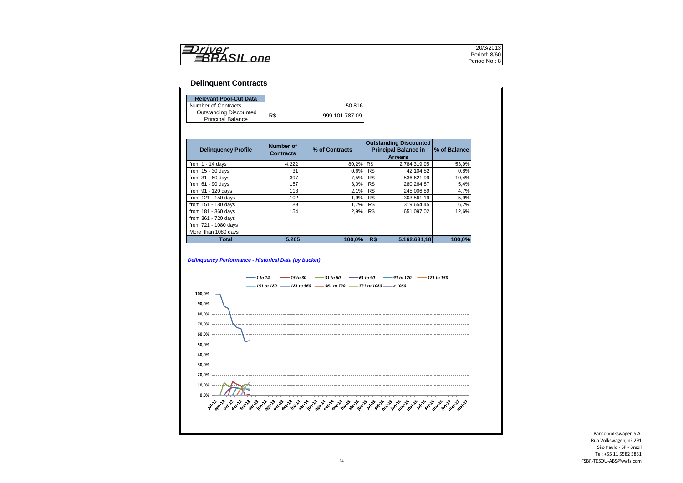| Iri <i>var</i>    | 20/3/2013       |
|-------------------|-----------------|
| יו הה<br>▆<br>2 A | 8/60<br>Period: |
| one               | Period No.: 8   |

#### **Delinquent Contracts**

| <b>Relevant Pool-Cut Data</b> |     |                |
|-------------------------------|-----|----------------|
| Number of Contracts           |     | 50.816         |
| <b>Outstanding Discounted</b> | R\$ | 999.101.787.09 |
| <b>Principal Balance</b>      |     |                |

| <b>Delinguency Profile</b> | Number of<br><b>Contracts</b> | % of Contracts |     | <b>Outstanding Discounted</b><br><b>Principal Balance in</b><br><b>Arrears</b> | % of Balance |
|----------------------------|-------------------------------|----------------|-----|--------------------------------------------------------------------------------|--------------|
| from $1 - 14$ days         | 4.222                         | 80.2%          | R\$ | 2.784.319,95                                                                   | 53,9%        |
| from $15 - 30$ days        | 31                            | 0.6%           | R\$ | 42.104,82                                                                      | 0,8%         |
| from $31 - 60$ days        | 397                           | 7,5%           | R\$ | 536.621,99                                                                     | 10,4%        |
| from $61 - 90$ days        | 157                           | 3.0%           | R\$ | 280.264,87                                                                     | 5,4%         |
| from 91 - 120 days         | 113                           | 2.1%           | R\$ | 245.006.89                                                                     | 4,7%         |
| from 121 - 150 days        | 102                           | 1,9%           | R\$ | 303.561,19                                                                     | 5,9%         |
| from 151 - 180 days        | 89                            | 1.7%           | R\$ | 319.654.45                                                                     | 6,2%         |
| from 181 - 360 days        | 154                           | 2.9%           | R\$ | 651.097.02                                                                     | 12,6%        |
| from 361 - 720 days        |                               |                |     |                                                                                |              |
| from 721 - 1080 days       |                               |                |     |                                                                                |              |
| More than 1080 days        |                               |                |     |                                                                                |              |
| <b>Total</b>               | 5.265                         | 100.0%         | R\$ | 5.162.631.18                                                                   | 100,0%       |

#### *Delinquency Performance - Historical Data (by bucket)*

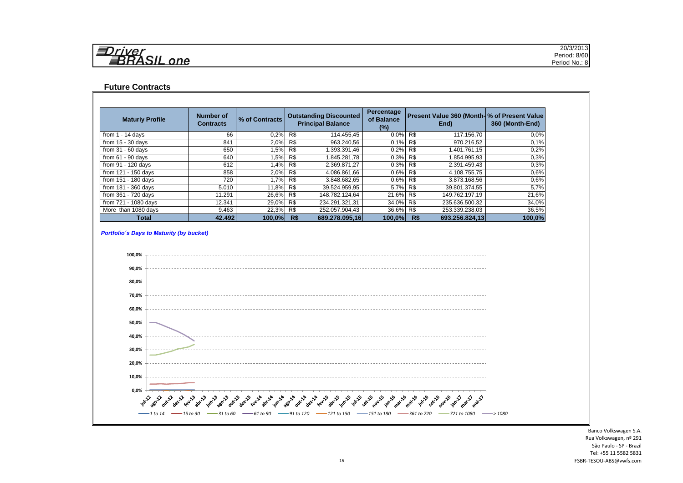| 复<br>2211202 | 20/3/2013     |
|--------------|---------------|
| $\sim$       | Period: 8/60  |
| one          | Period No.: 8 |

#### **Future Contracts**

| <b>Maturiy Profile</b> | Number of<br><b>Contracts</b> | % of Contracts | <b>Principal Balance</b> |                | <b>Outstanding Discounted</b> |     |                |        |  |  |  |  |  |  |  |  |  |  |  |  |  |  |  |  |  |  | Percentage<br>of Balance<br>$(\%)$ |  | Present Value 360 (Month- % of Present Value<br>End) | 360 (Month-End) |
|------------------------|-------------------------------|----------------|--------------------------|----------------|-------------------------------|-----|----------------|--------|--|--|--|--|--|--|--|--|--|--|--|--|--|--|--|--|--|--|------------------------------------|--|------------------------------------------------------|-----------------|
| from $1 - 14$ days     | 66                            | 0,2%           | R\$                      | 114.455,45     | 0.0%                          | R\$ | 117.156,70     | 0.0%   |  |  |  |  |  |  |  |  |  |  |  |  |  |  |  |  |  |  |                                    |  |                                                      |                 |
| from $15 - 30$ days    | 841                           | 2,0%           | R\$                      | 963.240,56     | 0.1%                          | R\$ | 970.216,52     | 0.1%   |  |  |  |  |  |  |  |  |  |  |  |  |  |  |  |  |  |  |                                    |  |                                                      |                 |
| from $31 - 60$ days    | 650                           | 1,5% R\$       |                          | 1.393.391,46   | 0,2%                          | R\$ | 1.401.761.15   | 0.2%   |  |  |  |  |  |  |  |  |  |  |  |  |  |  |  |  |  |  |                                    |  |                                                      |                 |
| from $61 - 90$ days    | 640                           | 1,5%           | R\$                      | 1.845.281.78   | 0,3%                          | R\$ | 1.854.995,93   | 0.3%   |  |  |  |  |  |  |  |  |  |  |  |  |  |  |  |  |  |  |                                    |  |                                                      |                 |
| from 91 - 120 days     | 612                           | 1,4% R\$       |                          | 2.369.871,27   | 0.3%                          | R\$ | 2.391.459,43   | 0.3%   |  |  |  |  |  |  |  |  |  |  |  |  |  |  |  |  |  |  |                                    |  |                                                      |                 |
| from 121 - 150 days    | 858                           | 2,0% R\$       |                          | 4.086.861,66   | 0,6%                          | R\$ | 4.108.755.75   | 0.6%   |  |  |  |  |  |  |  |  |  |  |  |  |  |  |  |  |  |  |                                    |  |                                                      |                 |
| from 151 - 180 days    | 720                           | 1,7% R\$       |                          | 3.848.682,65   | 0.6%                          | R\$ | 3.873.168,56   | 0.6%   |  |  |  |  |  |  |  |  |  |  |  |  |  |  |  |  |  |  |                                    |  |                                                      |                 |
| from $181 - 360$ days  | 5.010                         | 11,8% R\$      |                          | 39.524.959,95  | 5,7%                          | R\$ | 39.801.374,55  | 5,7%   |  |  |  |  |  |  |  |  |  |  |  |  |  |  |  |  |  |  |                                    |  |                                                      |                 |
| from 361 - 720 days    | 11.291                        | 26,6% R\$      |                          | 148.782.124.64 | 21,6%                         | R\$ | 149.762.197.19 | 21,6%  |  |  |  |  |  |  |  |  |  |  |  |  |  |  |  |  |  |  |                                    |  |                                                      |                 |
| from 721 - 1080 days   | 12.341                        | 29,0% R\$      |                          | 234.291.321,31 | 34,0%                         | R\$ | 235.636.500,32 | 34,0%  |  |  |  |  |  |  |  |  |  |  |  |  |  |  |  |  |  |  |                                    |  |                                                      |                 |
| More than 1080 days    | 9.463                         | 22,3% R\$      |                          | 252.057.904,43 | 36,6%                         | R\$ | 253.339.238,03 | 36,5%  |  |  |  |  |  |  |  |  |  |  |  |  |  |  |  |  |  |  |                                    |  |                                                      |                 |
| <b>Total</b>           | 42.492                        | $100.0\%$      | R\$                      | 689.278.095.16 | 100,0%                        | R\$ | 693.256.824.13 | 100,0% |  |  |  |  |  |  |  |  |  |  |  |  |  |  |  |  |  |  |                                    |  |                                                      |                 |

#### *Portfolio´s Days to Maturity (by bucket)*

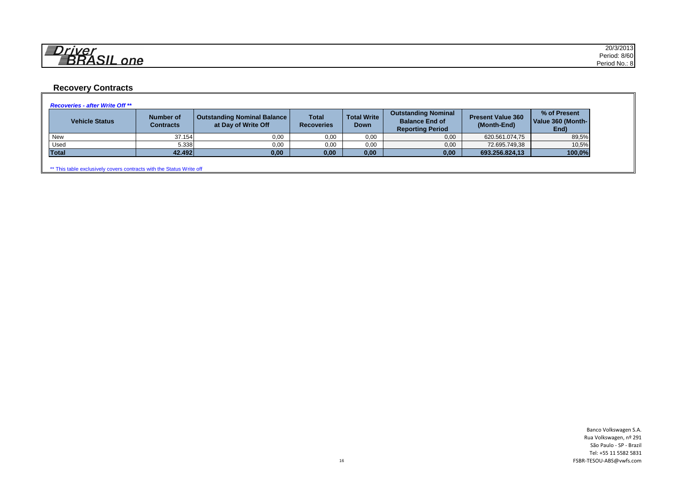| 一<br>21170F  | 20/3/2013                 |
|--------------|---------------------------|
| - - -        | 8/60<br>Period.           |
| $n$ $\alpha$ | $\cdots$<br>Period No.: 8 |

# **Recovery Contracts**

| <b>Vehicle Status</b> | <b>Number of</b><br>Contracts | <b>Outstanding Nominal Balance</b><br>at Day of Write Off | <b>Total</b><br><b>Recoveries</b> | <b>Total Write</b><br><b>Down</b> | <b>Outstanding Nominal</b><br><b>Balance End of</b><br><b>Reporting Period</b> | <b>Present Value 360</b><br>(Month-End) | % of Present<br>Value 360 (Month-<br>End) |
|-----------------------|-------------------------------|-----------------------------------------------------------|-----------------------------------|-----------------------------------|--------------------------------------------------------------------------------|-----------------------------------------|-------------------------------------------|
| New                   | 37.154                        | 0,00                                                      | 0,00                              | 0,00                              | 0,00                                                                           | 620.561.074,75                          | 89,5%                                     |
| Used                  | 5.338                         | 0,00                                                      | 0,00                              | 0,00                              | 0,00                                                                           | 72.695.749,38                           | 10,5%                                     |
| <b>Total</b>          | 42.492                        | 0,00                                                      | 0,00                              | 0,00                              | 0,00                                                                           | 693.256.824,13                          | 100,0%                                    |

\*\* This table exclusively covers contracts with the Status Write off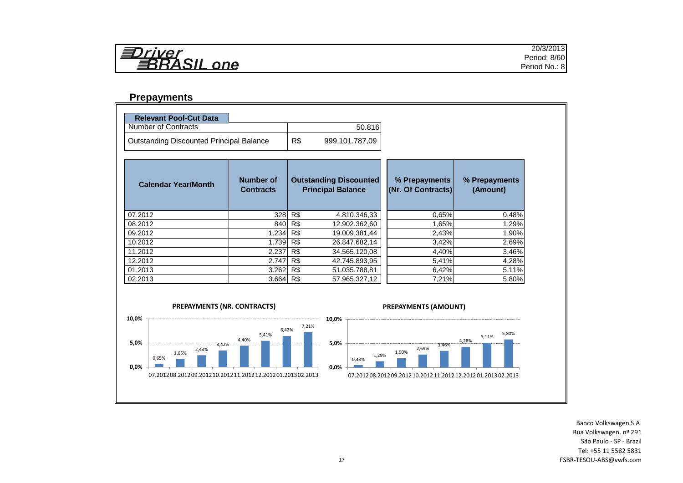

#### **Prepayments**

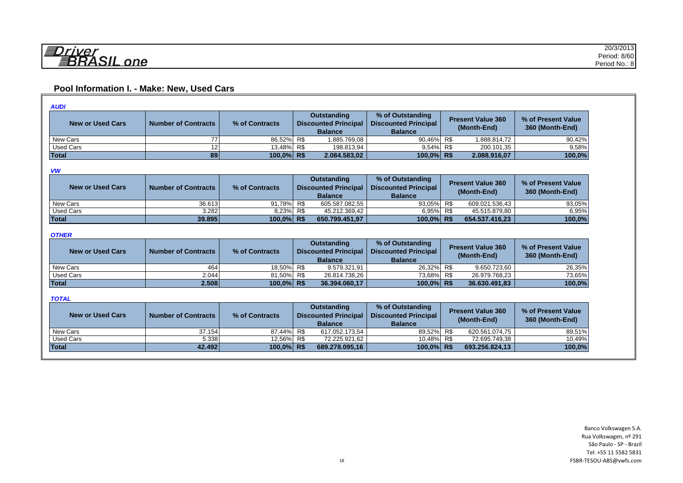# **Pool Information I. - Make: New, Used Cars**

| <b>AUDI</b>             |                            |                |                                            |                |                                                 |  |                                         |                                       |  |
|-------------------------|----------------------------|----------------|--------------------------------------------|----------------|-------------------------------------------------|--|-----------------------------------------|---------------------------------------|--|
| <b>New or Used Cars</b> | <b>Number of Contracts</b> | % of Contracts | Outstanding<br><b>Discounted Principal</b> |                | % of Outstanding<br><b>Discounted Principal</b> |  | <b>Present Value 360</b><br>(Month-End) | % of Present Value<br>360 (Month-End) |  |
|                         |                            |                |                                            | <b>Balance</b> | <b>Balance</b>                                  |  |                                         |                                       |  |
| New Cars                |                            | 86,52% R\$     |                                            | l.885.769.08 l | 90.46% R\$                                      |  | 1.888.814.72                            | 90,42%                                |  |
| Used Cars               | 12.                        | 13.48% R\$     |                                            | 198.813.94     | 9,54% R\$                                       |  | 200.101.35                              | 9,58%                                 |  |
| Total                   | 89                         | 100,0% R\$     |                                            | 2.084.583,02   | 100.0% R\$                                      |  | 2.088.916,07                            | 100,0%                                |  |

#### *VW*

| <b>New or Used Cars</b> | <b>Number of Contracts</b> | % of Contracts |     | <b>Outstanding</b><br><b>Discounted Principal</b><br><b>Balance</b> | % of Outstanding<br><b>Discounted Principal</b><br><b>Balance</b> | <b>Present Value 360</b><br>(Month-End) | % of Present Value<br>360 (Month-End) |
|-------------------------|----------------------------|----------------|-----|---------------------------------------------------------------------|-------------------------------------------------------------------|-----------------------------------------|---------------------------------------|
| New Cars                | 36.613                     | 91.78%I        | R\$ | 605.587.082.55                                                      | 93.05% R\$                                                        | 609.021.536.43                          | 93.05%                                |
| <b>Used Cars</b>        | 3.282                      | 8.23% R\$      |     | 45.212.369.42                                                       | 6.95% R\$                                                         | 45.515.879.80                           | 6.95%                                 |
| <b>Total</b>            | 39.895                     | 100.0% R\$     |     | 650.799.451.97                                                      | 100.0% R\$                                                        | 654.537.416.23                          | 100.0%                                |

#### *OTHER*

| <b>New or Used Cars</b> | <b>Number of Contracts</b> | % of Contracts | <b>Outstanding</b><br><b>Discounted Principal</b><br><b>Balance</b> | % of Outstanding<br><b>Discounted Principal</b><br><b>Balance</b> | <b>Present Value 360</b><br>(Month-End) | % of Present Value<br>360 (Month-End) |
|-------------------------|----------------------------|----------------|---------------------------------------------------------------------|-------------------------------------------------------------------|-----------------------------------------|---------------------------------------|
| New Cars                | 464                        | 18.50% R\$     | 9.579.321.91                                                        | 26.32% R\$                                                        | 9.650.723.60                            | 26.35%                                |
| Used Cars               | 2.044                      | 81.50% R\$     | 26.814.738.26                                                       | 73.68% R\$                                                        | 26.979.768.23                           | 73.65%                                |
| <b>Total</b>            | 2.508                      | 100.0% R\$     | 36.394.060.17                                                       | 100.0% R\$                                                        | 36.630.491.83                           | 100,0%                                |

#### *TOTAL*

| <b>New or Used Cars</b> | <b>Number of Contracts</b> | % of Contracts | <b>Outstanding</b><br><b>Discounted Principal</b><br><b>Balance</b> | % of Outstanding<br><b>Discounted Principal</b><br><b>Balance</b> | <b>Present Value 360</b><br>(Month-End) | % of Present Value<br>360 (Month-End) |
|-------------------------|----------------------------|----------------|---------------------------------------------------------------------|-------------------------------------------------------------------|-----------------------------------------|---------------------------------------|
| New Cars                | 37.154                     | 87.44% R\$     | 617.052.173.54                                                      | 89,52% R\$                                                        | 620.561.074,75                          | 89,51%                                |
| <b>Used Cars</b>        | 5.338                      | 12.56% R\$     | 72.225.921.62                                                       | 10.48% R\$                                                        | 72.695.749,38                           | 10.49%                                |
| <b>Total</b>            | 42.492                     | 100.0% R\$     | 689.278.095.16                                                      | 100.0% R\$                                                        | 693.256.824.13                          | 100,0%                                |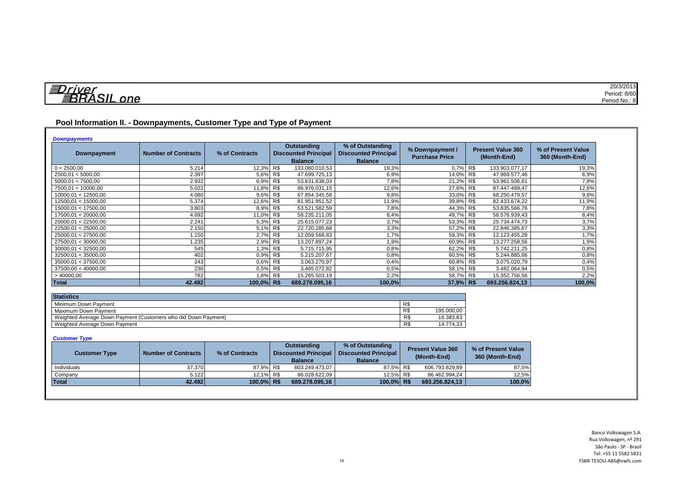| 与<br>1110r     | 20/3/2013<br>.          |
|----------------|-------------------------|
| $\blacksquare$ | Period: 8/60            |
| one            | $\cdots$<br>Period No.: |

### **Pool Information II. - Downpayments, Customer Type and Type of Payment**

| <b>Downpayments</b> |                            |                |                                                                     |                                                                   |                                          |                                         |                                       |
|---------------------|----------------------------|----------------|---------------------------------------------------------------------|-------------------------------------------------------------------|------------------------------------------|-----------------------------------------|---------------------------------------|
| Downpayment         | <b>Number of Contracts</b> | % of Contracts | <b>Outstanding</b><br><b>Discounted Principal</b><br><b>Balance</b> | % of Outstanding<br><b>Discounted Principal</b><br><b>Balance</b> | % Downpayment /<br><b>Purchase Price</b> | <b>Present Value 360</b><br>(Month-End) | % of Present Value<br>360 (Month-End) |
| 0 < 2500,00         | 5.214                      | 12,3% R\$      | 133.080.010,53                                                      | 19,3%                                                             | 0.7%                                     | R\$<br>133.903.077,17                   | 19,3%                                 |
| 2500,01 < 5000,00   | 2.397                      | 5,6% R\$       | 47.699.725.13                                                       | 6,9%                                                              | 14.0%                                    | R\$<br>47.969.577.46                    | 6,9%                                  |
| 5000.01 < 7500.00   | 2.932                      | 6,9% R\$       | 53.631.638,03                                                       | 7,8%                                                              | 21,2%                                    | R\$<br>53.961.506,61                    | 7,8%                                  |
| 7500,01 < 10000,00  | 5.022                      | 11,8% R\$      | 86.976.031,15                                                       | 12,6%                                                             | 27,6%                                    | R\$<br>87.447.489,47                    | 12,6%                                 |
| 10000.01 < 12500.00 | 4.080                      | 9,6% R\$       | 67.854.345,58                                                       | 9,8%                                                              | 33,0%                                    | R\$<br>68.250.479,57                    | 9,8%                                  |
| 12500,01 < 15000,00 | 5.374                      | 12,6% R\$      | 81.951.951,52                                                       | 11,9%                                                             | 39,8%                                    | R\$<br>82.433.674,22                    | 11,9%                                 |
| 15000.01 < 17500.00 | 3.803                      | 8,9% R\$       | 53.521.582,59                                                       | 7,8%                                                              | 44,3%                                    | R\$<br>53.835.566,76                    | 7,8%                                  |
| 17500,01 < 20000,00 | 4.692                      | 11,0% R\$      | 58.235.211,05                                                       | 8,4%                                                              | 49.7%                                    | R\$<br>58.576.939,43                    | 8,4%                                  |
| 20000.01 < 22500.00 | 2.241                      | 5,3% R\$       | 25.615.077.23                                                       | 3,7%                                                              | 53,3%                                    | R\$<br>25.734.474,73                    | 3,7%                                  |
| 22500,01 < 25000,00 | 2.150                      | 5,1% R\$       | 22.720.285,68                                                       | 3,3%                                                              | 57,2%                                    | R\$<br>22.846.385,67                    | 3,3%                                  |
| 25000,01 < 27500,00 | 1.150                      | 2,7% R\$       | 12.059.568,83                                                       | 1,7%                                                              | 59,3%                                    | R\$<br>12.123.455,28                    | 1,7%                                  |
| 27500,01 < 30000,00 | 1.235                      | 2,9% R\$       | 13.207.897,24                                                       | 1,9%                                                              | 60,9%                                    | R\$<br>13.277.258,56                    | 1,9%                                  |
| 30000.01 < 32500.00 | 545                        | 1,3% R\$       | 5.715.715,95                                                        | 0,8%                                                              | 62,2%                                    | R\$<br>5.742.211,25                     | 0,8%                                  |
| 32500.01 < 35000.00 | 402                        | 0.9% R\$       | 5.215.207,67                                                        | 0,8%                                                              | 60,5%                                    | R\$<br>5.244.885.66                     | 0,8%                                  |
| 35000.01 < 37500.00 | 243                        | 0.6%           | $R$ \$<br>3.063.270.97                                              | 0.4%                                                              | 60,8%                                    | R\$<br>3.075.020.79                     | 0,4%                                  |
| 37500,00 < 40000,00 | 230                        | 0,5% R\$       | 3.465.072,82                                                        | 0,5%                                                              | 58,1% R\$                                | 3.482.064,94                            | 0,5%                                  |
| >40000,00           | 782                        | 1,8% R\$       | 15.265.503,19                                                       | 2,2%                                                              | 58,7% R\$                                | 15.352.756,56                           | 2,2%                                  |
| Total               | 42.492                     | 100.0% R\$     | 689.278.095,16                                                      | 100,0%                                                            | 37,9% R\$                                | 693.256.824,13                          | 100,0%                                |

| <b>Statistics</b>                                              |     |            |
|----------------------------------------------------------------|-----|------------|
| Minimum Down Payment                                           | R\$ |            |
| Maximum Down Payment                                           | R\$ | 195.000.00 |
| Weighted Average Down Payment (Customers who did Down Payment) | R\$ | 16.383.83  |
| Weighted Average Down Payment                                  | R\$ | 14.774.33  |

#### *Customer Type*

| <b>Customer Type</b> | <b>Number of Contracts</b> | % of Contracts | Outstanding<br><b>Discounted Principal</b><br><b>Balance</b> | % of Outstanding<br><b>Discounted Principal</b><br><b>Balance</b> | <b>Present Value 360</b><br>(Month-End) | % of Present Value<br>360 (Month-End) |
|----------------------|----------------------------|----------------|--------------------------------------------------------------|-------------------------------------------------------------------|-----------------------------------------|---------------------------------------|
| Individuals          | 37.370                     | 87.9% R\$      | 603.249.473,07                                               | 87.5% R\$                                                         | 606.793.829.89                          | 87,5%                                 |
| Company              | 5.122                      | 12.1% R\$      | 86.028.622.09                                                | 12.5% R\$                                                         | 86.462.994.24                           | 12.5%                                 |
| <b>Total</b>         | 42.492                     | 100.0% R\$     | 689.278.095.16                                               | 100.0% R\$                                                        | 693.256.824.13                          | 100,0%                                |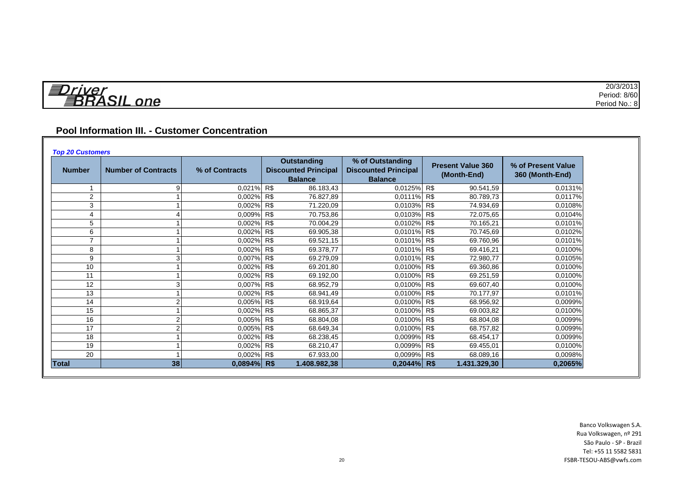| 1.70       | 20/3/2013     |
|------------|---------------|
| $- -$<br>= | Period: 8/60  |
| ne<br>.    | Period No.: 8 |

# **Pool Information III. - Customer Concentration**

| <b>Number</b> | <b>Number of Contracts</b> | % of Contracts | <b>Outstanding</b><br><b>Discounted Principal</b><br><b>Balance</b> | % of Outstanding<br><b>Discounted Principal</b><br><b>Balance</b> | <b>Present Value 360</b><br>(Month-End) | % of Present Value<br>360 (Month-End) |
|---------------|----------------------------|----------------|---------------------------------------------------------------------|-------------------------------------------------------------------|-----------------------------------------|---------------------------------------|
|               |                            | 0.021% R\$     | 86.183,43                                                           | 0,0125% R\$                                                       | 90.541,59                               | 0,0131%                               |
| 2             |                            | 0.002% R\$     | 76.827,89                                                           | 0.0111% R\$                                                       | 80.789,73                               | 0.0117%                               |
| 3             |                            | 0,002%         | R\$<br>71.220,09                                                    | 0,0103% R\$                                                       | 74.934,69                               | 0.0108%                               |
| 4             |                            | 0,009% R\$     | 70.753,86                                                           | 0,0103% R\$                                                       | 72.075,65                               | 0,0104%                               |
| 5             |                            | 0,002% R\$     | 70.004,29                                                           | 0.0102% R\$                                                       | 70.165,21                               | 0.0101%                               |
| 6             |                            | 0,002% R\$     | 69.905,38                                                           | 0,0101% R\$                                                       | 70.745,69                               | 0,0102%                               |
|               |                            | 0,002% R\$     | 69.521,15                                                           | 0.0101% R\$                                                       | 69.760,96                               | 0.0101%                               |
| 8             |                            | 0,002% R\$     | 69.378,77                                                           | 0.0101% R\$                                                       | 69.416,21                               | 0.0100%                               |
| 9             |                            | 0.007% R\$     | 69.279,09                                                           | 0,0101% R\$                                                       | 72.980,77                               | 0,0105%                               |
| 10            |                            | $0.002\%$ R\$  | 69.201,80                                                           | 0,0100% R\$                                                       | 69.360,86                               | 0.0100%                               |
| 11            |                            | 0,002% R\$     | 69.192,00                                                           | 0,0100% R\$                                                       | 69.251,59                               | 0,0100%                               |
| 12            |                            | 0,007%         | R\$<br>68.952,79                                                    | 0,0100% R\$                                                       | 69.607,40                               | 0.0100%                               |
| 13            |                            | 0,002% R\$     | 68.941,49                                                           | 0,0100%                                                           | R\$<br>70.177,97                        | 0,0101%                               |
| 14            |                            | 0.005% R\$     | 68.919,64                                                           | 0,0100% R\$                                                       | 68.956,92                               | 0.0099%                               |
| 15            |                            | 0,002% R\$     | 68.865,37                                                           | 0.0100%                                                           | <b>R\$</b><br>69.003,82                 | 0.0100%                               |
| 16            |                            | 0,005% R\$     | 68.804,08                                                           | 0,0100% R\$                                                       | 68.804,08                               | 0,0099%                               |
| 17            |                            | 0.005% R\$     | 68.649,34                                                           | 0,0100% R\$                                                       | 68.757,82                               | 0,0099%                               |
| 18            |                            | $0,002\%$ R\$  | 68.238,45                                                           | 0,0099% R\$                                                       | 68.454.17                               | 0,0099%                               |
| 19            |                            | 0,002% R\$     | 68.210,47                                                           | 0,0099% R\$                                                       | 69.455,01                               | 0.0100%                               |
| 20            |                            | 0,002% R\$     | 67.933,00                                                           | 0,0099%                                                           | <b>R\$</b><br>68.089,16                 | 0,0098%                               |
| <b>Total</b>  | 38                         | $0,0894\%$ R\$ | 1.408.982,38                                                        | $0,2044\%$ R\$                                                    | 1.431.329,30                            | 0,2065%                               |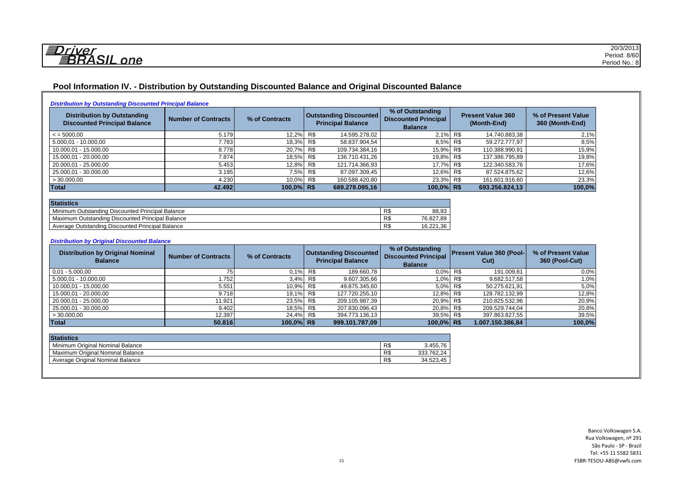*<u>EDriver</u>*<br>BRASIL one

### **Pool Information IV. - Distribution by Outstanding Discounted Balance and Original Discounted Balance**

|  | <b>Distribution by Outstanding Discounted Principal Balance</b> |
|--|-----------------------------------------------------------------|
|  |                                                                 |

| <b>Distribution by Outstanding</b><br><b>Discounted Principal Balance</b> | <b>Number of Contracts</b> | % of Contracts | <b>Outstanding Discounted</b><br><b>Principal Balance</b> | % of Outstanding<br><b>Discounted Principal</b><br><b>Balance</b> | <b>Present Value 360</b><br>(Month-End) | % of Present Value<br>360 (Month-End) |
|---------------------------------------------------------------------------|----------------------------|----------------|-----------------------------------------------------------|-------------------------------------------------------------------|-----------------------------------------|---------------------------------------|
| $\le$ = 5000.00                                                           | 5.179                      | 12,2% R\$      | 14.595.278,02                                             | 2.1% R\$                                                          | 14.740.883,38                           | 2,1%                                  |
| 5.000,01 - 10.000,00                                                      | 7.783                      | 18,3% R\$      | 58.837.904,54                                             | 8,5% R\$                                                          | 59.272.777,97                           | 8,5%                                  |
| 10.000,01 - 15.000,00                                                     | 8.778                      | 20,7% R\$      | 109.734.384,16                                            | 15,9% R\$                                                         | 110.388.990,91                          | 15,9%                                 |
| 15.000,01 - 20.000,00                                                     | 7.874                      | 18,5% R\$      | 136.710.431,26                                            | 19,8% R\$                                                         | 137.386.795,89                          | 19,8%                                 |
| 20.000,01 - 25.000,00                                                     | 5.453                      | 12,8% R\$      | 121.714.366,93                                            | 17.7% R\$                                                         | 122.340.583,76                          | 17,6%                                 |
| 25.000,01 - 30.000,00                                                     | 3.195                      | 7,5% R\$       | 87.097.309,45                                             | 12,6% R\$                                                         | 87.524.875,62                           | 12,6%                                 |
| >30.000,00                                                                | 4.230                      | 10,0% R\$      | 160.588.420,80                                            | 23,3% R\$                                                         | 161.601.916,60                          | 23,3%                                 |
| Total                                                                     | 42.492                     | 100.0% R\$     | 689.278.095,16                                            | 100,0% R\$                                                        | 693.256.824,13                          | 100,0%                                |

| <b>Statistics</b>                                |           |                       |  |  |  |  |  |  |
|--------------------------------------------------|-----------|-----------------------|--|--|--|--|--|--|
| Minimum Outstanding Discounted Principal Balance | D.<br>гv. | 88.93                 |  |  |  |  |  |  |
| Maximum Outstanding Discounted Principal Balance | D.<br>ΓJ  | 76.827.89             |  |  |  |  |  |  |
| Average Outstanding Discounted Principal Balance | D<br>ΓJ   | .36<br>10.001<br>0.ZZ |  |  |  |  |  |  |

#### *Distribution by Original Discounted Balance*

| <b>Distribution by Original Nominal</b><br><b>Balance</b> | <b>Number of Contracts</b> | % of Contracts | <b>Outstanding Discounted</b><br><b>Principal Balance</b> |                | % of Outstanding<br><b>Discounted Principal</b><br><b>Balance</b> | <b>Present Value 360 (Pool-</b><br>Cut) |                  | % of Present Value<br>360 (Pool-Cut) |
|-----------------------------------------------------------|----------------------------|----------------|-----------------------------------------------------------|----------------|-------------------------------------------------------------------|-----------------------------------------|------------------|--------------------------------------|
| $0.01 - 5.000.00$                                         |                            | $0.1\%$ R\$    |                                                           | 189.660,78     | $0.0\%$                                                           | R\$                                     | 191.009,81       | 0.0%                                 |
| 5.000.01 - 10.000.00                                      | 1.752                      | $3,4\%$ R\$    |                                                           | 9.607.305,66   | 1,0%                                                              | R\$                                     | 9.682.517,58     | 1,0%                                 |
| 10.000,01 - 15.000,00                                     | 5.551                      | 10,9% R\$      |                                                           | 49.875.345,60  | 5,0% R\$                                                          |                                         | 50.275.621,91    | 5,0%                                 |
| 15.000,01 - 20.000,00                                     | 9.718                      | 19,1% R\$      |                                                           | 127.720.255,10 | 12,8% R\$                                                         |                                         | 128.782.132,99   | 12,8%                                |
| 20.000.01 - 25.000.00                                     | 11.921                     | 23,5% R\$      |                                                           | 209.105.987,39 | 20,9% R\$                                                         |                                         | 210.825.532,96   | 20,9%                                |
| 25.000,01 - 30.000,00                                     | 9.402                      | 18,5% R\$      |                                                           | 207.830.096,43 | 20.8% R\$                                                         |                                         | 209.529.744,04   | 20,8%                                |
| >30.000,00                                                | 12.397                     | 24.4% R\$      |                                                           | 394.773.136,13 | 39.5% R\$                                                         |                                         | 397.863.827,55   | 39,5%                                |
| Total                                                     | 50.816                     | $100.0\%$ R\$  |                                                           | 999.101.787,09 | 100,0% R\$                                                        |                                         | 1.007.150.386,84 | 100,0%                               |

| <b>Statistics</b>                |     |                 |
|----------------------------------|-----|-----------------|
| Minimum Original Nominal Balance | R\$ | 3.455.76        |
| Maximum Original Nominal Balance | R\$ | 333.762,24      |
| Average Original Nominal Balance | R\$ | 3.45<br>34.523. |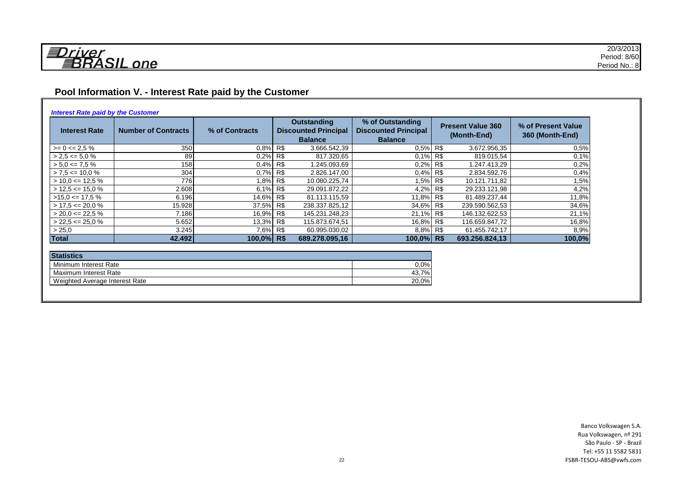# **Pool Information V. - Interest Rate paid by the Customer**

#### *Interest Rate paid by the Customer*

| <b>Interest Rate</b> | <b>Number of Contracts</b> | % of Contracts | <b>Outstanding</b><br><b>Discounted Principal</b><br><b>Balance</b> | % of Outstanding<br><b>Discounted Principal</b><br><b>Balance</b> | <b>Present Value 360</b><br>(Month-End) |                | % of Present Value<br>360 (Month-End) |
|----------------------|----------------------------|----------------|---------------------------------------------------------------------|-------------------------------------------------------------------|-----------------------------------------|----------------|---------------------------------------|
| $>= 0 \le 2.5 \%$    | 350                        | $0.8\%$ R\$    | 3.666.542,39                                                        | 0.5% R\$                                                          |                                         | 3.672.956,35   | 0,5%                                  |
| $> 2.5 \le 5.0 \%$   | 89                         | $0.2\%$ R\$    | 817.320,65                                                          | $0.1\%$ R\$                                                       |                                         | 819.015,54     | 0,1%                                  |
| $> 5.0 \leq 7.5 \%$  | 158                        | $0.4\%$ R\$    | 1.245.093,69                                                        | 0,2%                                                              | R\$                                     | 1.247.413,29   | 0,2%                                  |
| $> 7.5 \le 10.0 \%$  | 304                        | $0.7\%$ R\$    | 2.826.147,00                                                        | 0.4% R\$                                                          |                                         | 2.834.592,76   | 0,4%                                  |
| $>$ 10,0 <= 12,5 %   | 776                        | 1,8% R\$       | 10.080.225,74                                                       | 1,5% R\$                                                          |                                         | 10.121.711,82  | 1,5%                                  |
| $>$ 12,5 <= 15,0 %   | 2.608                      | 6.1% R\$       | 29.091.872,22                                                       | 4,2% R\$                                                          |                                         | 29.233.121,98  | 4,2%                                  |
| $>15.0 \leq 17.5 \%$ | 6.196                      | 14,6% R\$      | 81.113.115.59                                                       | 11,8% R\$                                                         |                                         | 81.489.237,44  | 11,8%                                 |
| $> 17.5 \le 20.0 \%$ | 15.928                     | 37,5% R\$      | 238.337.825,12                                                      | 34,6% R\$                                                         |                                         | 239.590.562,53 | 34,6%                                 |
| $>$ 20.0 <= 22.5 %   | 7.186                      | 16,9% R\$      | 145.231.248,23                                                      | 21,1% R\$                                                         |                                         | 146.132.622,53 | 21,1%                                 |
| $>$ 22,5 <= 25,0 %   | 5.652                      | 13.3% R\$      | 115.873.674,51                                                      | 16,8% R\$                                                         |                                         | 116.659.847,72 | 16,8%                                 |
| > 25,0               | 3.245                      | 7,6% R\$       | 60.995.030,02                                                       | 8,8% R\$                                                          |                                         | 61.455.742,17  | 8,9%                                  |
| Total                | 42.492                     | 100,0% R\$     | 689.278.095.16                                                      | $100.0\%$ R\$                                                     |                                         | 693.256.824,13 | 100,0%                                |

| <b>Statistics</b>              |         |  |  |  |  |  |  |
|--------------------------------|---------|--|--|--|--|--|--|
| Minimum Interest Rate          | $0.0\%$ |  |  |  |  |  |  |
| Maximum Interest Rate          | 43.7%   |  |  |  |  |  |  |
| Weighted Average Interest Rate | 20,0%   |  |  |  |  |  |  |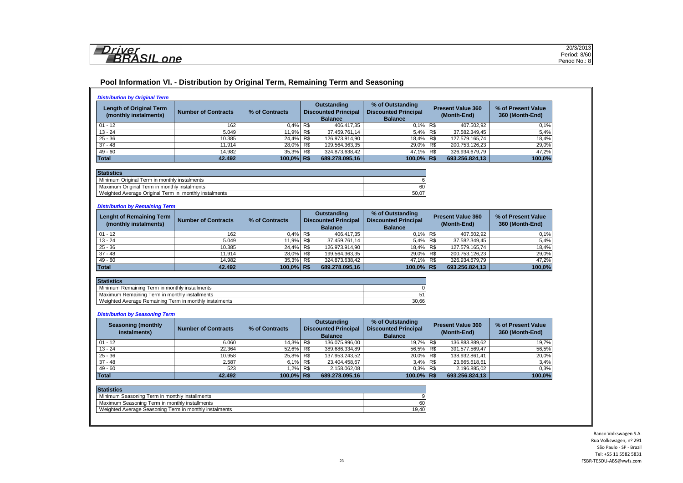| <i><u> コフriver</u></i><br><b>BRASIL</b> one |
|---------------------------------------------|

#### **Pool Information VI. - Distribution by Original Term, Remaining Term and Seasoning**

| <b>Length of Original Term</b><br>(monthly instalments)                                                                                                                                                                          | <b>Number of Contracts</b>                   | % of Contracts | <b>Outstanding</b><br><b>Discounted Principal</b><br><b>Balance</b> | % of Outstanding<br><b>Discounted Principal</b><br><b>Balance</b> |                | <b>Present Value 360</b><br>(Month-End) | % of Present Value<br>360 (Month-End) |
|----------------------------------------------------------------------------------------------------------------------------------------------------------------------------------------------------------------------------------|----------------------------------------------|----------------|---------------------------------------------------------------------|-------------------------------------------------------------------|----------------|-----------------------------------------|---------------------------------------|
| $01 - 12$                                                                                                                                                                                                                        | 162                                          | 0,4%           | R\$<br>406.417,35                                                   | 0.1%                                                              | <b>R\$</b>     | 407.502,92                              | 0,1%                                  |
| $13 - 24$                                                                                                                                                                                                                        | 5.049                                        | 11,9%          | R\$<br>37.459.761,14                                                | 5.4%                                                              | R\$            | 37.582.349,45                           | 5,4%                                  |
| $25 - 36$                                                                                                                                                                                                                        | 10.385                                       | 24,4%          | R\$<br>126.973.914.90                                               | 18,4%                                                             | R\$            | 127.579.165.74                          | 18,4%                                 |
| $37 - 48$                                                                                                                                                                                                                        | 11.914                                       | 28.0%          | R\$<br>199.564.363,35                                               | 29.0%                                                             | R\$            | 200.753.126,23                          | 29,0%                                 |
| $49 - 60$                                                                                                                                                                                                                        | 14.982                                       | 35,3%          | R\$<br>324.873.638,42                                               | 47,1%                                                             | R <sub>s</sub> | 326.934.679,79                          | 47,2%                                 |
| Total                                                                                                                                                                                                                            | 42.492                                       | 100,0% R\$     | 689.278.095,16                                                      | 100,0% R\$                                                        |                | 693.256.824,13                          | 100,0%                                |
|                                                                                                                                                                                                                                  | Maximum Original Term in monthly instalments |                |                                                                     | 60<br>50,07                                                       |                |                                         |                                       |
|                                                                                                                                                                                                                                  | <b>Number of Contracts</b>                   | % of Contracts | <b>Outstanding</b><br><b>Discounted Principal</b>                   | % of Outstanding<br><b>Discounted Principal</b>                   |                | <b>Present Value 360</b>                | % of Present Value                    |
| (monthly instalments)                                                                                                                                                                                                            |                                              |                | <b>Balance</b>                                                      | <b>Balance</b>                                                    |                | (Month-End)                             | 360 (Month-End)                       |
|                                                                                                                                                                                                                                  | 162                                          | 0.4%           | R\$<br>406.417.35                                                   | 0.1%                                                              | R\$            | 407.502.92                              | 0.1%                                  |
|                                                                                                                                                                                                                                  | 5.049                                        | 11,9%          | R\$<br>37.459.761,14                                                | 5,4%                                                              | R\$            | 37.582.349,45                           | 5,4%                                  |
|                                                                                                                                                                                                                                  | 10.385                                       | 24,4%          | R\$<br>126.973.914,90                                               | 18,4%                                                             | R\$            | 127.579.165,74                          | 18,4%                                 |
|                                                                                                                                                                                                                                  | 11.914                                       | 28,0%          | R\$<br>199.564.363,35                                               | 29,0%                                                             | R\$            | 200.753.126,23                          |                                       |
|                                                                                                                                                                                                                                  | 14.982                                       | 35.3%          | R\$<br>324.873.638.42                                               | 47.1%                                                             | R\$            | 326.934.679.79                          | 29,0%<br>47,2%                        |
|                                                                                                                                                                                                                                  | 42.492                                       | 100.0% R\$     | 689.278.095.16                                                      | 100,0% R\$                                                        |                | 693.256.824,13                          | 100,0%                                |
| Weighted Average Original Term in monthly instalments<br><b>Distribution by Remaining Term</b><br><b>Lenght of Remaining Term</b><br>$01 - 12$<br>$13 - 24$<br>$25 - 36$<br>$37 - 48$<br>$49 - 60$<br>Total<br><b>Statistics</b> |                                              |                |                                                                     |                                                                   |                |                                         |                                       |
|                                                                                                                                                                                                                                  |                                              |                |                                                                     | C                                                                 |                |                                         |                                       |
| Minimum Remaining Term in monthly installments<br>Maximum Remaining Term in monthly installments                                                                                                                                 |                                              |                |                                                                     | 51                                                                |                |                                         |                                       |

*Distribution by Seasoning Term*

| <b>Seasoning (monthly</b><br>instalments) | <b>Number of Contracts</b> | % of Contracts | Outstanding<br><b>Discounted Principal</b><br><b>Balance</b> |                |               |                |        |  |  |  |  |  |  |  |  |  |  |  |  |  |  |  |  |  | % of Outstanding<br><b>Discounted Principal</b><br><b>Balance</b> | <b>Present Value 360</b><br>(Month-End) | % of Present Value<br>360 (Month-End) |
|-------------------------------------------|----------------------------|----------------|--------------------------------------------------------------|----------------|---------------|----------------|--------|--|--|--|--|--|--|--|--|--|--|--|--|--|--|--|--|--|-------------------------------------------------------------------|-----------------------------------------|---------------------------------------|
| $01 - 12$                                 | 6.060                      | 14,3% R\$      |                                                              | 136.075.996.00 | 19.7% R\$     | 136.883.889.62 | 19,7%  |  |  |  |  |  |  |  |  |  |  |  |  |  |  |  |  |  |                                                                   |                                         |                                       |
| $13 - 24$                                 | 22.364                     | 52,6% R\$      |                                                              | 389.686.334,89 | 56,5% R\$     | 391.577.569,47 | 56,5%  |  |  |  |  |  |  |  |  |  |  |  |  |  |  |  |  |  |                                                                   |                                         |                                       |
| $25 - 36$                                 | 10.958                     | 25,8% R\$      |                                                              | 137.953.243,52 | 20,0% R\$     | 138.932.861,41 | 20,0%  |  |  |  |  |  |  |  |  |  |  |  |  |  |  |  |  |  |                                                                   |                                         |                                       |
| $37 - 48$                                 | 2.587                      | 6,1% R\$       |                                                              | 23.404.458.67  | 3,4% R\$      | 23.665.618,61  | 3,4%   |  |  |  |  |  |  |  |  |  |  |  |  |  |  |  |  |  |                                                                   |                                         |                                       |
| $49 - 60$                                 | 523                        | .2%            | R\$                                                          | 2.158.062,08   | 0.3% R\$      | 2.196.885,02   | 0.3%   |  |  |  |  |  |  |  |  |  |  |  |  |  |  |  |  |  |                                                                   |                                         |                                       |
| <b>Total</b>                              | 42.492                     | 100,0% R\$     |                                                              | 689.278.095,16 | $100,0\%$ R\$ | 693.256.824,13 | 100,0% |  |  |  |  |  |  |  |  |  |  |  |  |  |  |  |  |  |                                                                   |                                         |                                       |

| <b>Statistics</b>                                      |       |
|--------------------------------------------------------|-------|
| Minimum Seasoning Term in monthly installments         |       |
| Maximum Seasoning Term in monthly installments         | 60    |
| Weighted Average Seasoning Term in monthly instalments | 19.40 |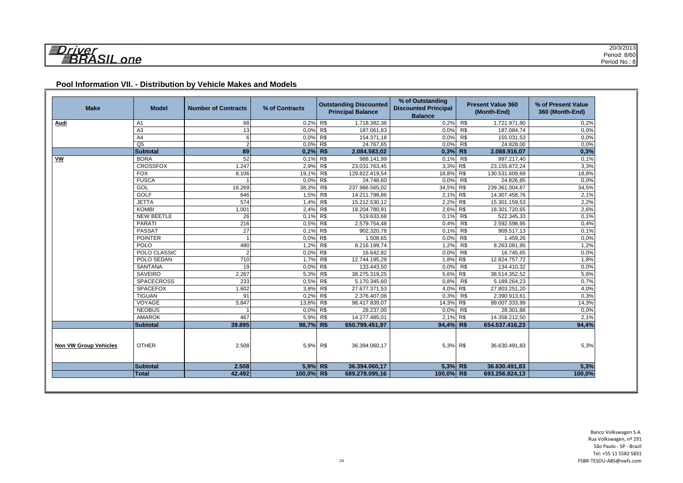| <b>Make</b>                  | <b>Model</b>      | <b>Number of Contracts</b> | % of Contracts |     | <b>Outstanding Discounted</b><br><b>Principal Balance</b> | % of Outstanding<br><b>Discounted Principal</b><br><b>Balance</b> |     | <b>Present Value 360</b><br>(Month-End) | % of Present Value<br>360 (Month-End) |
|------------------------------|-------------------|----------------------------|----------------|-----|-----------------------------------------------------------|-------------------------------------------------------------------|-----|-----------------------------------------|---------------------------------------|
| <u>Audi</u>                  | A <sub>1</sub>    | 68                         | 0,2% R\$       |     | 1.718.382,36                                              | 0.2%                                                              | R\$ | 1.721.971,80                            | 0,2%                                  |
|                              | A <sub>3</sub>    | 13                         | 0,0% R\$       |     | 187.061,83                                                | 0,0%                                                              | R\$ | 187.084,74                              | 0,0%                                  |
|                              | A <sub>4</sub>    | 6                          | $0,0\%$ R\$    |     | 154.371,18                                                | 0.0%                                                              | R\$ | 155.031,53                              | 0,0%                                  |
|                              | Q <sub>5</sub>    | $\overline{2}$             | $0.0\%$ R\$    |     | 24.767,65                                                 | 0.0%                                                              | R\$ | 24.828,00                               | 0.0%                                  |
|                              | <b>Subtotal</b>   | 89                         | $0.2\%$ R\$    |     | 2.084.583,02                                              | $0,3%$ R\$                                                        |     | 2.088.916,07                            | 0,3%                                  |
| $\underline{\mathsf{vw}}$    | <b>BORA</b>       | 52                         | 0,1% R\$       |     | 988.141,99                                                | 0,1%                                                              | R\$ | 997.217,40                              | 0,1%                                  |
|                              | <b>CROSSFOX</b>   | 1.247                      | 2,9%           | R\$ | 23.031.763,45                                             | 3,3%                                                              | R\$ | 23.155.872,24                           | 3,3%                                  |
|                              | <b>FOX</b>        | 8.106                      | 19,1%          | R\$ | 129.822.419,54                                            | 18,8%                                                             | R\$ | 130.531.609,69                          | 18,8%                                 |
|                              | <b>FUSCA</b>      |                            | 0,0%           | R\$ | 24.748,60                                                 | 0,0%                                                              | R\$ | 24.826,85                               | 0,0%                                  |
|                              | GOL               | 16.269                     | 38,3%          | R\$ | 237.966.565,02                                            | 34,5%                                                             | R\$ | 239.361.004,87                          | 34,5%                                 |
|                              | <b>GOLF</b>       | 646                        | $1,5\%$ R\$    |     | 14.211.798,86                                             | 2,1%                                                              | R\$ | 14.307.458,76                           | 2,1%                                  |
|                              | <b>JETTA</b>      | 574                        | 1,4%           | R\$ | 15.212.530,12                                             | 2,2%                                                              | R\$ | 15.301.159,53                           | 2,2%                                  |
|                              | <b>KOMBI</b>      | 1.001                      | 2,4%           | R\$ | 18.204.780,91                                             | 2,6%                                                              | R\$ | 18.301.720,65                           | 2,6%                                  |
|                              | <b>NEW BEETLE</b> | 26                         | 0,1%           | R\$ | 519.633,68                                                | 0,1%                                                              | R\$ | 522.345,33                              | 0,1%                                  |
|                              | <b>PARATI</b>     | 216                        | 0,5%           | R\$ | 2.579.754,48                                              | 0,4%                                                              | R\$ | 2.592.598,95                            | 0,4%                                  |
|                              | <b>PASSAT</b>     | 27                         | 0,1%           | R\$ | 902.320,78                                                | 0,1%                                                              | R\$ | 909.517,13                              | 0,1%                                  |
|                              | <b>POINTER</b>    |                            | 0,0% R\$       |     | 1.508,65                                                  | 0,0%                                                              | R\$ | 1.459,26                                | 0,0%                                  |
|                              | <b>POLO</b>       | 490                        | 1,2%           | R\$ | 8.216.199,74                                              | 1,2%                                                              | R\$ | 8.263.081,95                            | 1,2%                                  |
|                              | POLO CLASSIC      | $\overline{2}$             | 0,0%           | R\$ | 16.642,82                                                 | 0,0%                                                              | R\$ | 16.745,65                               | 0,0%                                  |
|                              | POLO SEDAN        | 710                        | 1,7%           | R\$ | 12.744.195,29                                             | 1,8%                                                              | R\$ | 12.824.757,72                           | 1,8%                                  |
|                              | <b>SANTANA</b>    | 19                         | 0,0%           | R\$ | 133.443,50                                                | 0,0%                                                              | R\$ | 134.410,32                              | 0,0%                                  |
|                              | SAVEIRO           | 2.267                      | 5,3% R\$       |     | 38.275.319,25                                             | 5,6%                                                              | R\$ | 38.514.352,52                           | 5,6%                                  |
|                              | <b>SPACECROSS</b> | 233                        | 0,5% R\$       |     | 5.170.345,60                                              | 0.8%                                                              | R\$ | 5.189.264,23                            | 0,7%                                  |
|                              | <b>SPACEFOX</b>   | 1.602                      | 3,8%           | R\$ | 27.677.371,53                                             | 4,0%                                                              | R\$ | 27.803.251,20                           | 4,0%                                  |
|                              | <b>TIGUAN</b>     | 91                         | 0,2%           | R\$ | 2.376.407,08                                              | 0,3%                                                              | R\$ | 2.390.913,61                            | 0,3%                                  |
|                              | <b>VOYAGE</b>     | 5.847                      | 13,8%          | R\$ | 98.417.839,07                                             | 14,3%                                                             | R\$ | 99.007.333,99                           | 14,3%                                 |
|                              | <b>NEOBUS</b>     |                            | 0,0%           | R\$ | 28.237,00                                                 | 0,0%                                                              | R\$ | 28.301,88                               | 0,0%                                  |
|                              | <b>AMAROK</b>     | 467                        | 5,9%           | R\$ | 14.277.485,01                                             | 2,1%                                                              | R\$ | 14.358.212,50                           | 2,1%                                  |
|                              | <b>Subtotal</b>   | 39.895                     | 98,7% R\$      |     | 650.799.451,97                                            | 94,4% R\$                                                         |     | 654.537.416,23                          | 94,4%                                 |
| <b>Non VW Group Vehicles</b> | <b>OTHER</b>      | 2.508                      | 5,9%           | R\$ | 36.394.060,17                                             | 5,3% R\$                                                          |     | 36.630.491,83                           | 5,3%                                  |
|                              | <b>Subtotal</b>   | 2.508                      | $5,9%$ R\$     |     | 36.394.060,17                                             | $5,3\%$ R\$                                                       |     | 36.630.491,83                           | 5,3%                                  |
|                              | <b>Total</b>      | 42.492                     | 100,0% R\$     |     | 689.278.095,16                                            | $100,0\%$ R\$                                                     |     | 693.256.824,13                          | 100,0%                                |

### **Pool Information VII. - Distribution by Vehicle Makes and Models**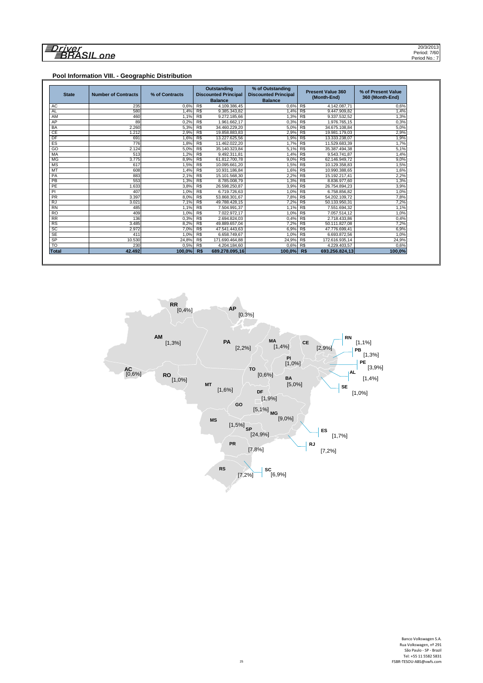# 

#### **Pool Information VIII. - Geographic Distribution**

| <b>State</b>    | <b>Number of Contracts</b> | % of Contracts | <b>Outstanding</b><br><b>Discounted Principal</b><br><b>Balance</b> |                | % of Outstanding<br><b>Discounted Principal</b><br><b>Balance</b> |     | <b>Present Value 360</b><br>(Month-End) | % of Present Value<br>360 (Month-End) |  |
|-----------------|----------------------------|----------------|---------------------------------------------------------------------|----------------|-------------------------------------------------------------------|-----|-----------------------------------------|---------------------------------------|--|
| <b>AC</b>       | 235                        | 0.6%           | R\$                                                                 | 4.109.386,45   | $0.6\%$ R\$                                                       |     | 4.142.087.71                            | 0.6%                                  |  |
| <b>AL</b>       | 580                        | 1.4%           | R\$                                                                 | 9.385.343.82   | 1.4%                                                              | R\$ | 9.447.909.82                            | 1,4%                                  |  |
| AM              | 460                        | 1.1%           | R\$                                                                 | 9.272.185.66   | 1.3%                                                              | R\$ | 9.337.532,52                            | 1,3%                                  |  |
| AP              | 89                         | 0.2%           | R\$                                                                 | 1.961.662,17   | 0.3%                                                              | R\$ | 1.976.765.15                            | 0,3%                                  |  |
| <b>BA</b>       | 2.260                      | 5.3%           | R\$                                                                 | 34.460.229,20  | 5.0%                                                              | R\$ | 34.675.108,84                           | 5.0%                                  |  |
| CE              | 1.212                      | 2.9%           | RS                                                                  | 19.858.883,83  | 2,9%                                                              | RS  | 19.981.179.03                           | 2.9%                                  |  |
| DF              | 691                        | 1.6%           | R\$                                                                 | 13.227.625,56  | 1.9%                                                              | R\$ | 13.333.238.07                           | 1,9%                                  |  |
| ES              | 776                        | 1.8%           | R\$                                                                 | 11.462.022.20  | 1.7%                                                              | R\$ | 11.529.683.39                           | 1.7%                                  |  |
| GO              | 2.124                      | 5,0%           | R\$                                                                 | 35.140.323,84  | 5,1%                                                              | R\$ | 35.387.494,38                           | 5,1%                                  |  |
| MA              | 513                        | 1.2%           | R\$                                                                 | 9.492.311,81   | 1,4%                                                              | R\$ | 9.543.741.87                            | 1,4%                                  |  |
| <b>MG</b>       | 3.775                      | 8,9%           | R\$                                                                 | 61.812.700,78  | 9.0%                                                              | R\$ | 62.146.949.72                           | 9,0%                                  |  |
| <b>MS</b>       | 617                        | 1,5%           | R\$                                                                 | 10.095.661.20  | 1,5%                                                              | R\$ | 10.129.358.83                           | 1,5%                                  |  |
| MT              | 608                        | 1.4%           | R\$                                                                 | 10.931.186.84  | 1.6%                                                              | R\$ | 10.990.388.65                           | 1.6%                                  |  |
| PA              | 883                        | 2,1%           | R\$                                                                 | 15.101.568,30  | 2,2%                                                              | R\$ | 15.192.217,41                           | 2,2%                                  |  |
| PB              | 553                        | 1.3%           | R\$                                                                 | 8.785.008.79   | 1.3%                                                              | R\$ | 8.836.977.60                            | 1.3%                                  |  |
| PE              | 1.633                      | 3,8%           | R\$                                                                 | 26.598.250.87  | 3,9%                                                              | R\$ | 26.754.894.23                           | 3,9%                                  |  |
| PI              | 407                        | 1.0%           | R\$                                                                 | 6.719.726,63   | 1.0%                                                              | R\$ | 6.758.856.82                            | 1,0%                                  |  |
| <b>PR</b>       | 3.397                      | 8.0%           | R\$                                                                 | 53.868.301,67  | 7.8%                                                              | R\$ | 54.202.109.72                           | 7,8%                                  |  |
| <b>RJ</b>       | 3.021                      | 7.1%           | R\$                                                                 | 49.788.428.15  | 7,2%                                                              | R\$ | 50.133.950.31                           | 7,2%                                  |  |
| <b>RN</b>       | 485                        | 1.1%           | R\$                                                                 | 7.504.991.37   | 1.1%                                                              | R\$ | 7.551.694.32                            | 1,1%                                  |  |
| <b>RO</b>       | 409                        | 1.0%           | R\$                                                                 | 7.022.972,17   | 1.0%                                                              | R\$ | 7.057.514.12                            | 1,0%                                  |  |
| $\overline{RR}$ | 136                        | 0,3%           | R\$                                                                 | 2.694.824.03   | 0,4%                                                              | R\$ | 2.718.433.86                            | 0,4%                                  |  |
| <b>RS</b>       | 3.485                      | 8.2%           | R\$                                                                 | 49.889.657.04  | 7.2%                                                              | R\$ | 50.111.827.08                           | 7.2%                                  |  |
| SC              | 2.972                      | 7.0%           | RS                                                                  | 47.541.443,63  | 6.9%                                                              | RS  | 47.776.699.41                           | 6,9%                                  |  |
| <b>SE</b>       | 411                        | 1.0%           | R\$                                                                 | 6.658.749.67   | 1.0%                                                              | R\$ | 6.693.872,56                            | 1,0%                                  |  |
| SP              | 10.530                     | 24,8%          | R\$                                                                 | 171.690.464,88 | 24,9%                                                             | R\$ | 172.616.935,14                          | 24,9%                                 |  |
| $\overline{10}$ | 230                        | 0.5%           | R <sub>s</sub>                                                      | 4.204.184.60   | 0.6% R\$                                                          |     | 4.229.403.57                            | 0.6%                                  |  |
| Total           | 42.492                     | 100.0%         | R\$                                                                 | 689.278.095.16 | 100.0%                                                            | R\$ | 693.256.824.13                          | 100,0%                                |  |